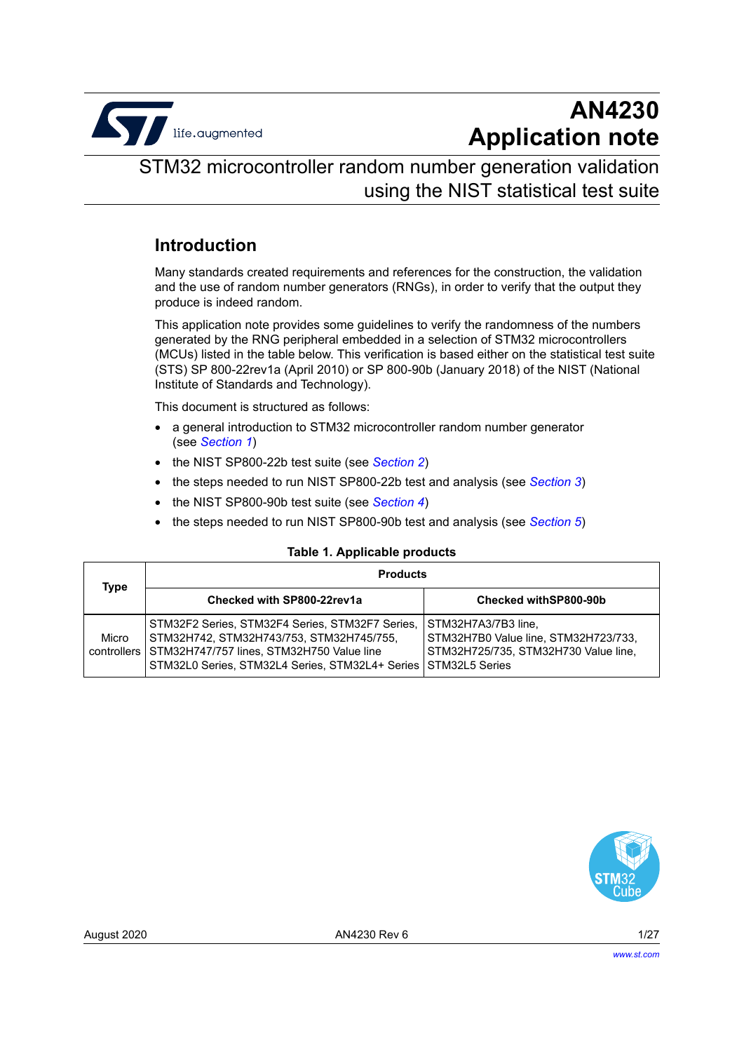

## **AN4230 Application note**

### STM32 microcontroller random number generation validation using the NIST statistical test suite

### **Introduction**

Many standards created requirements and references for the construction, the validation and the use of random number generators (RNGs), in order to verify that the output they produce is indeed random.

This application note provides some guidelines to verify the randomness of the numbers generated by the RNG peripheral embedded in a selection of STM32 microcontrollers (MCUs) listed in the table below. This verification is based either on the statistical test suite (STS) SP 800-22rev1a (April 2010) or SP 800-90b (January 2018) of the NIST (National Institute of Standards and Technology).

This document is structured as follows:

- a general introduction to STM32 microcontroller random number generator (see *[Section 1](#page-4-0)*)
- the NIST SP800-22b test suite (see *[Section 2](#page-6-0)*)
- the steps needed to run NIST SP800-22b test and analysis (see *[Section 3](#page-8-0)*)
- the NIST SP800-90b test suite (see *[Section 4](#page-15-0)*)
- the steps needed to run NIST SP800-90b test and analysis (see *[Section 5](#page-17-0)*)

#### <span id="page-0-0"></span>**Table 1. Applicable products**

| Type                 | <b>Products</b>                                                                                                                                                                             |                                                                                                                              |  |
|----------------------|---------------------------------------------------------------------------------------------------------------------------------------------------------------------------------------------|------------------------------------------------------------------------------------------------------------------------------|--|
|                      | Checked with SP800-22rev1a                                                                                                                                                                  | Checked withSP800-90b                                                                                                        |  |
| Micro<br>controllers | STM32F2 Series, STM32F4 Series, STM32F7 Series,<br>STM32H742, STM32H743/753, STM32H745/755,<br>STM32H747/757 lines, STM32H750 Value line<br>STM32L0 Series, STM32L4 Series, STM32L4+ Series | STM32H7A3/7B3 line,<br>STM32H7B0 Value line, STM32H723/733,<br>STM32H725/735, STM32H730 Value line,<br><b>STM32L5 Series</b> |  |

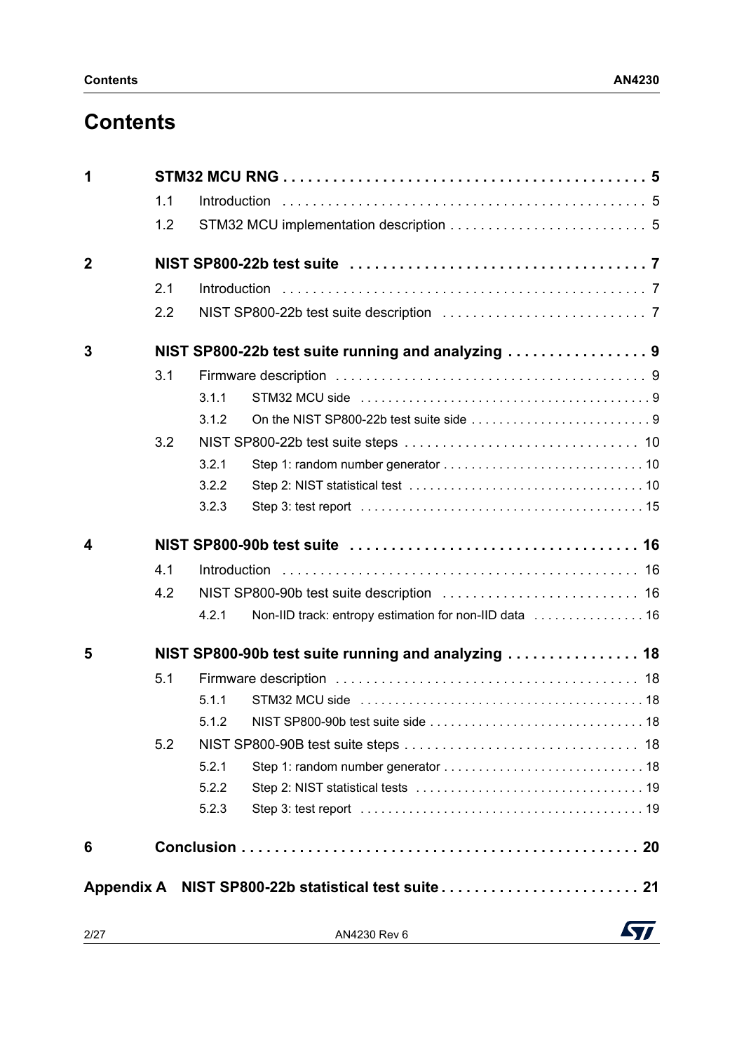## **Contents**

| 1              |     |       |                                                        |
|----------------|-----|-------|--------------------------------------------------------|
|                | 1.1 |       |                                                        |
|                | 1.2 |       |                                                        |
| $\overline{2}$ |     |       |                                                        |
|                | 2.1 |       |                                                        |
|                | 2.2 |       |                                                        |
| 3              |     |       | NIST SP800-22b test suite running and analyzing        |
|                | 3.1 |       |                                                        |
|                |     | 3.1.1 |                                                        |
|                |     | 3.1.2 |                                                        |
|                | 3.2 |       |                                                        |
|                |     | 3.2.1 |                                                        |
|                |     | 3.2.2 |                                                        |
|                |     | 3.2.3 |                                                        |
| 4              |     |       |                                                        |
|                | 4.1 |       |                                                        |
|                | 4.2 |       |                                                        |
|                |     | 4.2.1 | Non-IID track: entropy estimation for non-IID data  16 |
| 5              |     |       | NIST SP800-90b test suite running and analyzing  18    |
|                | 5.1 |       |                                                        |
|                |     | 5.1.1 |                                                        |
|                |     | 5.1.2 |                                                        |
|                | 5.2 |       |                                                        |
|                |     | 5.2.1 |                                                        |
|                |     | 5.2.2 |                                                        |
|                |     | 5.2.3 |                                                        |
| 6              |     |       |                                                        |
|                |     |       | Appendix A NIST SP800-22b statistical test suite 21    |
|                |     |       |                                                        |

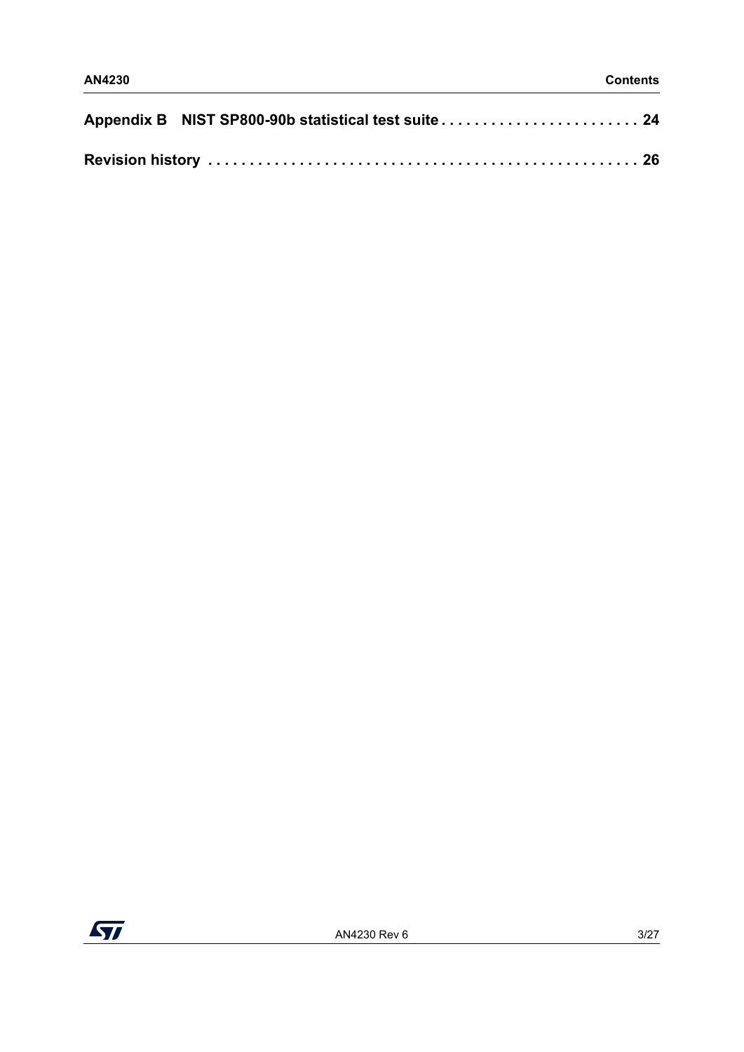| Appendix B NIST SP800-90b statistical test suite 24 |  |
|-----------------------------------------------------|--|
|                                                     |  |

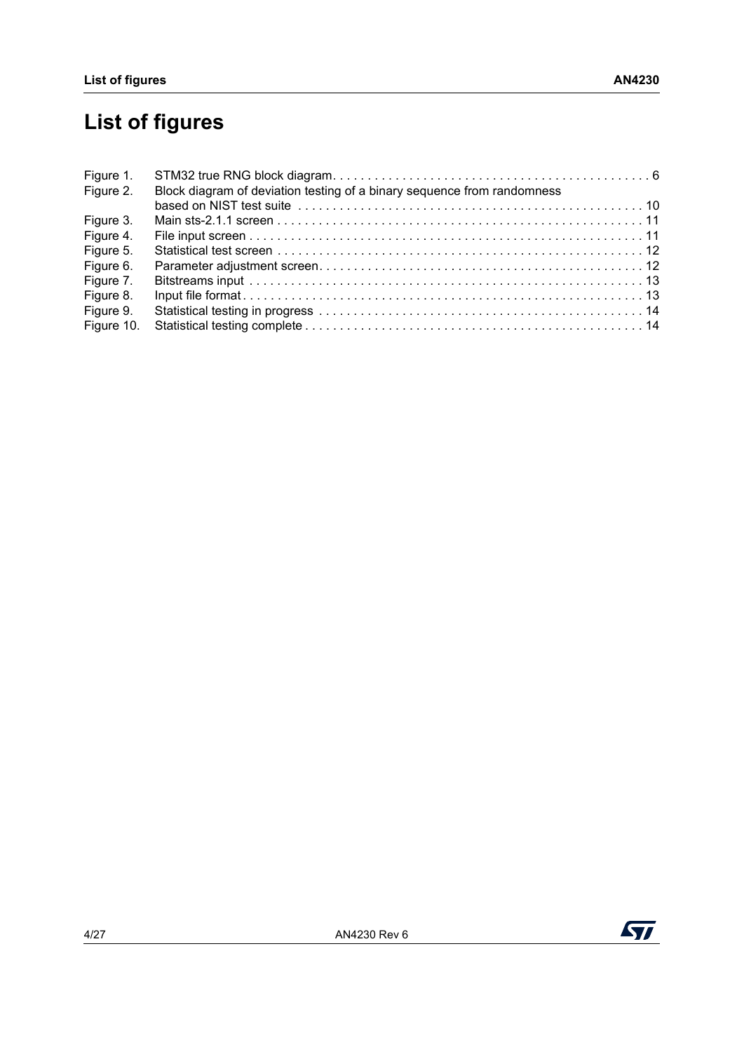# **List of figures**

| Figure 1.  |                                                                         |  |
|------------|-------------------------------------------------------------------------|--|
| Figure 2.  | Block diagram of deviation testing of a binary sequence from randomness |  |
|            |                                                                         |  |
| Figure 3.  |                                                                         |  |
| Figure 4.  |                                                                         |  |
| Figure 5.  |                                                                         |  |
| Figure 6.  |                                                                         |  |
| Figure 7.  |                                                                         |  |
| Figure 8.  |                                                                         |  |
| Figure 9.  |                                                                         |  |
| Figure 10. |                                                                         |  |

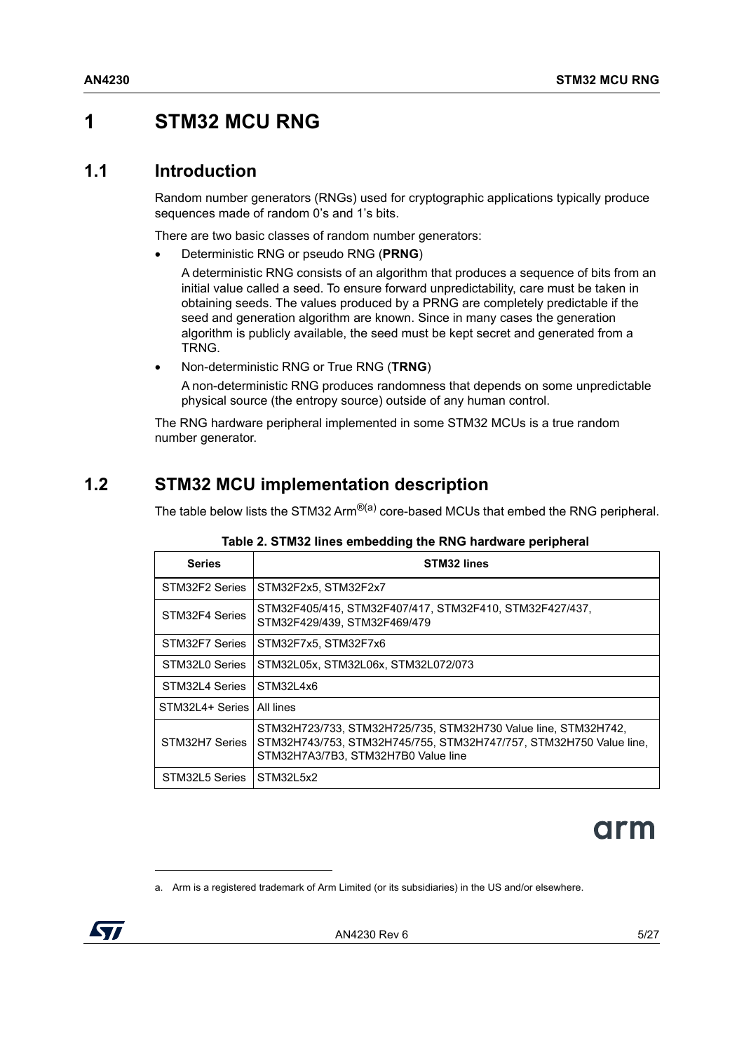### <span id="page-4-1"></span><span id="page-4-0"></span>**1 STM32 MCU RNG**

#### <span id="page-4-2"></span>**1.1 Introduction**

Random number generators (RNGs) used for cryptographic applications typically produce sequences made of random 0's and 1's bits.

There are two basic classes of random number generators:

• Deterministic RNG or pseudo RNG (**PRNG**)

A deterministic RNG consists of an algorithm that produces a sequence of bits from an initial value called a seed. To ensure forward unpredictability, care must be taken in obtaining seeds. The values produced by a PRNG are completely predictable if the seed and generation algorithm are known. Since in many cases the generation algorithm is publicly available, the seed must be kept secret and generated from a TRNG.

• Non-deterministic RNG or True RNG (**TRNG**)

A non-deterministic RNG produces randomness that depends on some unpredictable physical source (the entropy source) outside of any human control.

The RNG hardware peripheral implemented in some STM32 MCUs is a true random number generator.

### <span id="page-4-3"></span>**1.2 STM32 MCU implementation description**

The table below lists the STM32 Arm $^{\circledR(a)}$  core-based MCUs that embed the RNG peripheral.

<span id="page-4-4"></span>

| <b>Series</b>   | STM32 lines                                                                                                                                                                 |
|-----------------|-----------------------------------------------------------------------------------------------------------------------------------------------------------------------------|
| STM32F2 Series  | STM32F2x5, STM32F2x7                                                                                                                                                        |
| STM32F4 Series  | STM32F405/415, STM32F407/417, STM32F410, STM32F427/437,<br>STM32F429/439, STM32F469/479                                                                                     |
| STM32F7 Series  | STM32F7x5, STM32F7x6                                                                                                                                                        |
| STM32L0 Series  | STM32L05x, STM32L06x, STM32L072/073                                                                                                                                         |
| STM32L4 Series  | STM32L4x6                                                                                                                                                                   |
| STM32L4+ Series | All lines                                                                                                                                                                   |
| STM32H7 Series  | STM32H723/733, STM32H725/735, STM32H730 Value line, STM32H742,<br>STM32H743/753, STM32H745/755, STM32H747/757, STM32H750 Value line,<br>STM32H7A3/7B3, STM32H7B0 Value line |
| STM32L5 Series  | STM32L5x2                                                                                                                                                                   |

**Table 2. STM32 lines embedding the RNG hardware peripheral** 

# arm

a. Arm is a registered trademark of Arm Limited (or its subsidiaries) in the US and/or elsewhere.

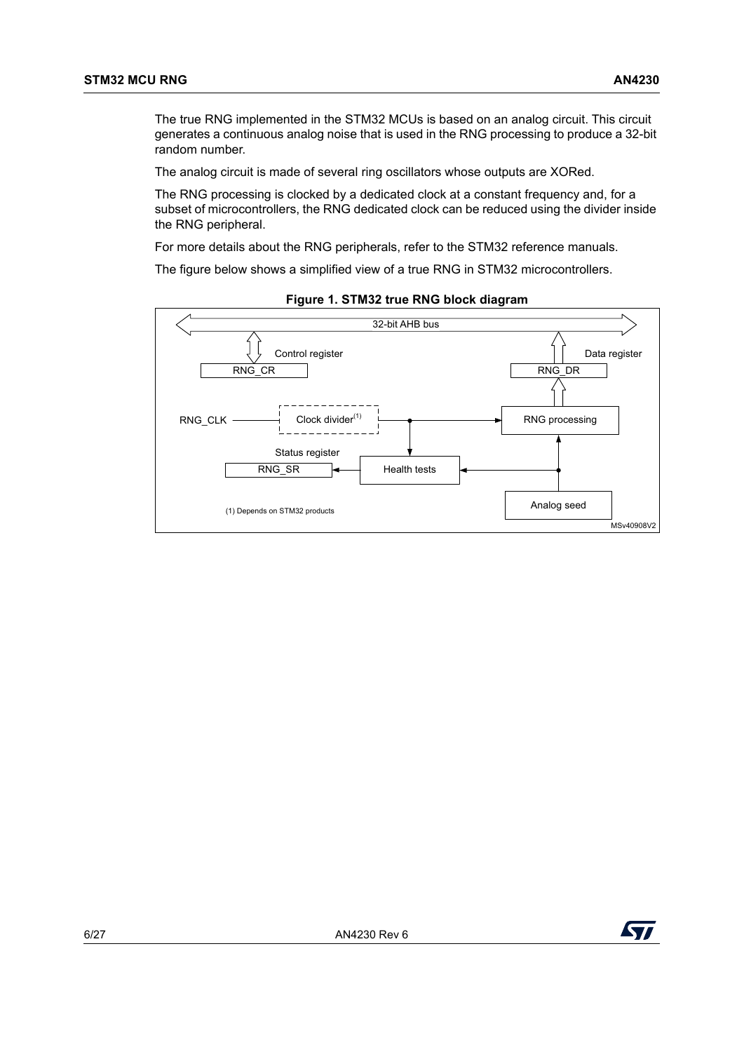The true RNG implemented in the STM32 MCUs is based on an analog circuit. This circuit generates a continuous analog noise that is used in the RNG processing to produce a 32-bit random number.

The analog circuit is made of several ring oscillators whose outputs are XORed.

The RNG processing is clocked by a dedicated clock at a constant frequency and, for a subset of microcontrollers, the RNG dedicated clock can be reduced using the divider inside the RNG peripheral.

For more details about the RNG peripherals, refer to the STM32 reference manuals.

The figure below shows a simplified view of a true RNG in STM32 microcontrollers.

<span id="page-5-0"></span>

**Figure 1. STM32 true RNG block diagram**

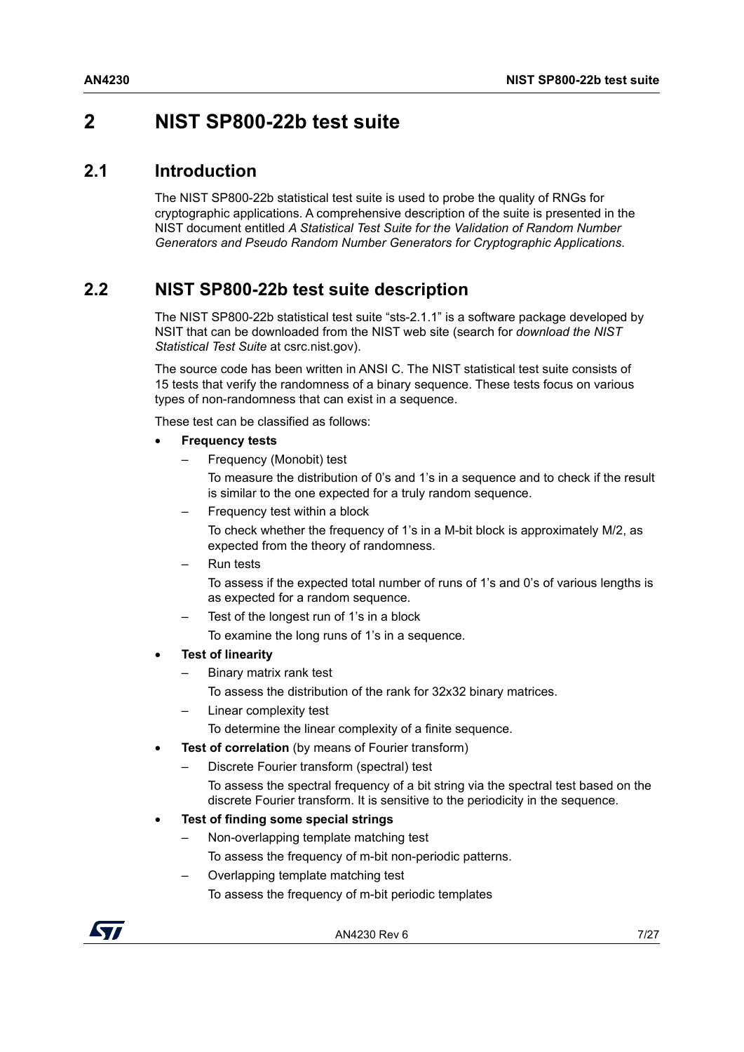### <span id="page-6-1"></span><span id="page-6-0"></span>**2 NIST SP800-22b test suite**

#### <span id="page-6-2"></span>**2.1 Introduction**

The NIST SP800-22b statistical test suite is used to probe the quality of RNGs for cryptographic applications. A comprehensive description of the suite is presented in the NIST document entitled *A Statistical Test Suite for the Validation of Random Number Generators and Pseudo Random Number Generators for Cryptographic Applications*.

### <span id="page-6-3"></span>**2.2 NIST SP800-22b test suite description**

The NIST SP800-22b statistical test suite "sts-2.1.1" is a software package developed by NSIT that can be downloaded from the NIST web site (search for *download the NIST Statistical Test Suite* at csrc.nist.gov).

The source code has been written in ANSI C. The NIST statistical test suite consists of 15 tests that verify the randomness of a binary sequence. These tests focus on various types of non-randomness that can exist in a sequence.

These test can be classified as follows:

- **Frequency tests**
	- Frequency (Monobit) test

To measure the distribution of 0's and 1's in a sequence and to check if the result is similar to the one expected for a truly random sequence.

– Frequency test within a block

To check whether the frequency of 1's in a M-bit block is approximately M/2, as expected from the theory of randomness.

– Run tests

To assess if the expected total number of runs of 1's and 0's of various lengths is as expected for a random sequence.

– Test of the longest run of 1's in a block

To examine the long runs of 1's in a sequence.

- **Test of linearity**
	- Binary matrix rank test

To assess the distribution of the rank for 32x32 binary matrices.

Linear complexity test

To determine the linear complexity of a finite sequence.

- **Test of correlation** (by means of Fourier transform)
	- Discrete Fourier transform (spectral) test

To assess the spectral frequency of a bit string via the spectral test based on the discrete Fourier transform. It is sensitive to the periodicity in the sequence.

- **Test of finding some special strings**
	- Non-overlapping template matching test To assess the frequency of m-bit non-periodic patterns.

– Overlapping template matching test

To assess the frequency of m-bit periodic templates

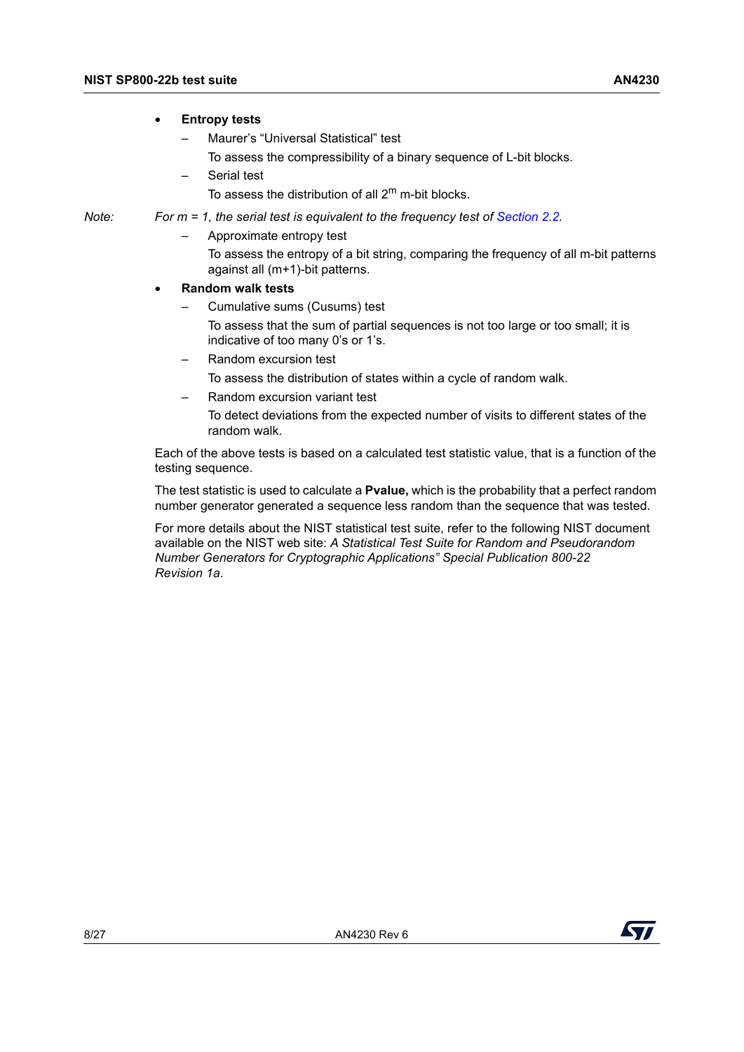#### • **Entropy tests**

- Maurer's "Universal Statistical" test
	- To assess the compressibility of a binary sequence of L-bit blocks.
- Serial test
	- To assess the distribution of all  $2^m$  m-bit blocks.

- *Note: For m = 1, the serial test is equivalent to the frequency test of [Section](#page-6-3) 2.2.*
	- Approximate entropy test
		- To assess the entropy of a bit string, comparing the frequency of all m-bit patterns against all (m+1)-bit patterns.

#### • **Random walk tests**

– Cumulative sums (Cusums) test

To assess that the sum of partial sequences is not too large or too small; it is indicative of too many 0's or 1's.

– Random excursion test

To assess the distribution of states within a cycle of random walk.

– Random excursion variant test

To detect deviations from the expected number of visits to different states of the random walk.

Each of the above tests is based on a calculated test statistic value, that is a function of the testing sequence.

The test statistic is used to calculate a **Pvalue,** which is the probability that a perfect random number generator generated a sequence less random than the sequence that was tested.

For more details about the NIST statistical test suite, refer to the following NIST document available on the NIST web site: *A Statistical Test Suite for Random and Pseudorandom Number Generators for Cryptographic Applications" Special Publication 800-22 Revision 1a*.

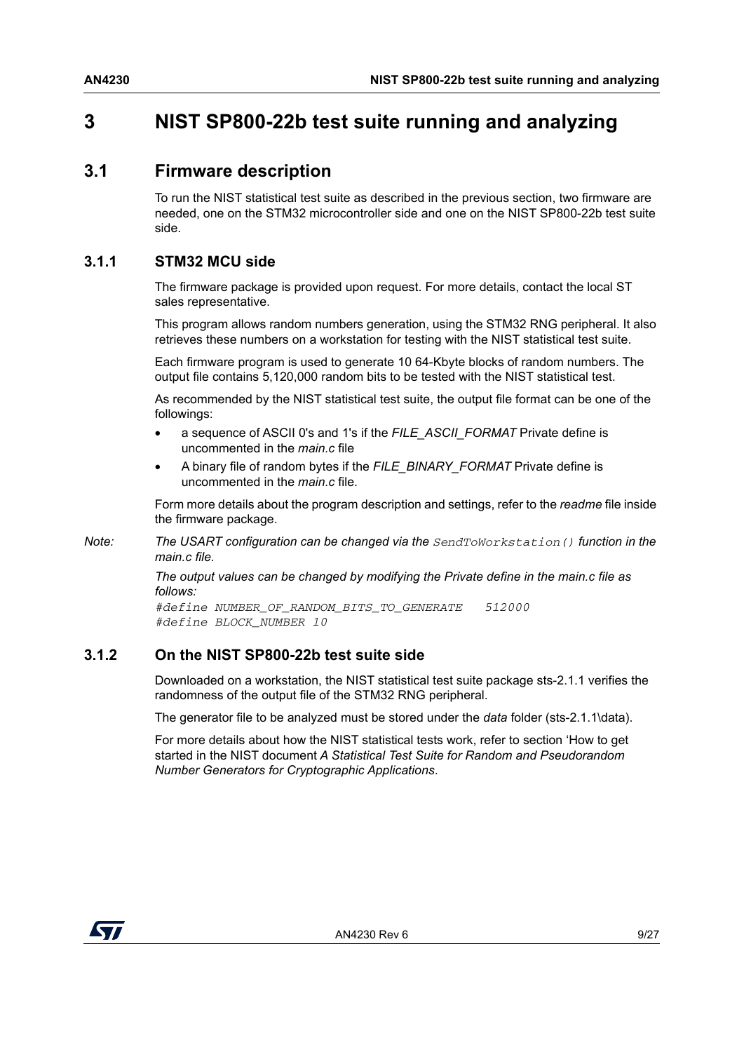### <span id="page-8-1"></span><span id="page-8-0"></span>**3 NIST SP800-22b test suite running and analyzing**

#### <span id="page-8-2"></span>**3.1 Firmware description**

To run the NIST statistical test suite as described in the previous section, two firmware are needed, one on the STM32 microcontroller side and one on the NIST SP800-22b test suite side.

#### <span id="page-8-3"></span>**3.1.1 STM32 MCU side**

The firmware package is provided upon request. For more details, contact the local ST sales representative.

This program allows random numbers generation, using the STM32 RNG peripheral. It also retrieves these numbers on a workstation for testing with the NIST statistical test suite.

Each firmware program is used to generate 10 64-Kbyte blocks of random numbers. The output file contains 5,120,000 random bits to be tested with the NIST statistical test.

As recommended by the NIST statistical test suite, the output file format can be one of the followings:

- a sequence of ASCII 0's and 1's if the *FILE\_ASCII\_FORMAT* Private define is uncommented in the *main.c* file
- A binary file of random bytes if the *FILE\_BINARY\_FORMAT* Private define is uncommented in the *main.c* file.

Form more details about the program description and settings, refer to the *readme* file inside the firmware package.

*Note: The USART configuration can be changed via the SendToWorkstation() function in the main.c file.*

> *The output values can be changed by modifying the Private define in the main.c file as follows:*

*#define NUMBER\_OF\_RANDOM\_BITS\_TO\_GENERATE 512000 #define BLOCK\_NUMBER 10*

#### <span id="page-8-4"></span>**3.1.2 On the NIST SP800-22b test suite side**

Downloaded on a workstation, the NIST statistical test suite package sts-2.1.1 verifies the randomness of the output file of the STM32 RNG peripheral.

The generator file to be analyzed must be stored under the *data* folder (sts-2.1.1\data).

For more details about how the NIST statistical tests work, refer to section 'How to get started in the NIST document *A Statistical Test Suite for Random and Pseudorandom Number Generators for Cryptographic Applications*.

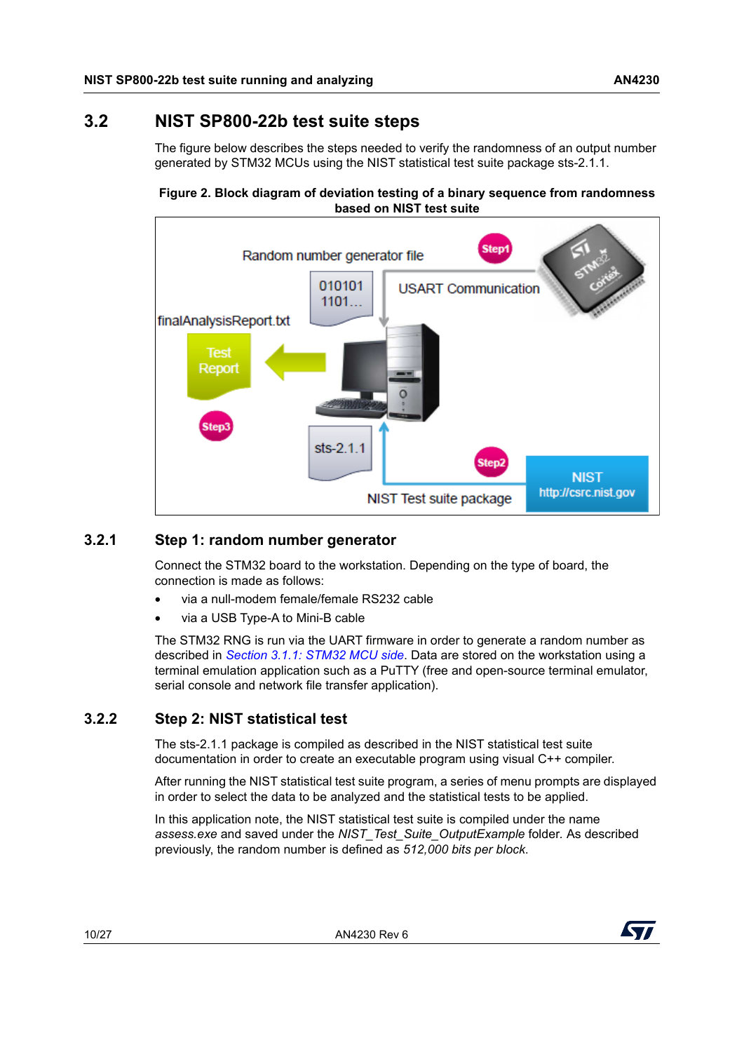### <span id="page-9-0"></span>**3.2 NIST SP800-22b test suite steps**

The figure below describes the steps needed to verify the randomness of an output number generated by STM32 MCUs using the NIST statistical test suite package sts-2.1.1.

<span id="page-9-3"></span>



#### <span id="page-9-1"></span>**3.2.1 Step 1: random number generator**

Connect the STM32 board to the workstation. Depending on the type of board, the connection is made as follows:

- via a null-modem female/female RS232 cable
- via a USB Type-A to Mini-B cable

The STM32 RNG is run via the UART firmware in order to generate a random number as described in *Section [3.1.1: STM32 MCU side](#page-8-3)*. Data are stored on the workstation using a terminal emulation application such as a PuTTY (free and open-source terminal emulator, serial console and network file transfer application).

#### <span id="page-9-2"></span>**3.2.2 Step 2: NIST statistical test**

The sts-2.1.1 package is compiled as described in the NIST statistical test suite documentation in order to create an executable program using visual C++ compiler.

After running the NIST statistical test suite program, a series of menu prompts are displayed in order to select the data to be analyzed and the statistical tests to be applied.

In this application note, the NIST statistical test suite is compiled under the name *assess.exe* and saved under the *NIST\_Test\_Suite\_OutputExample* folder*.* As described previously, the random number is defined as *512,000 bits per block*.

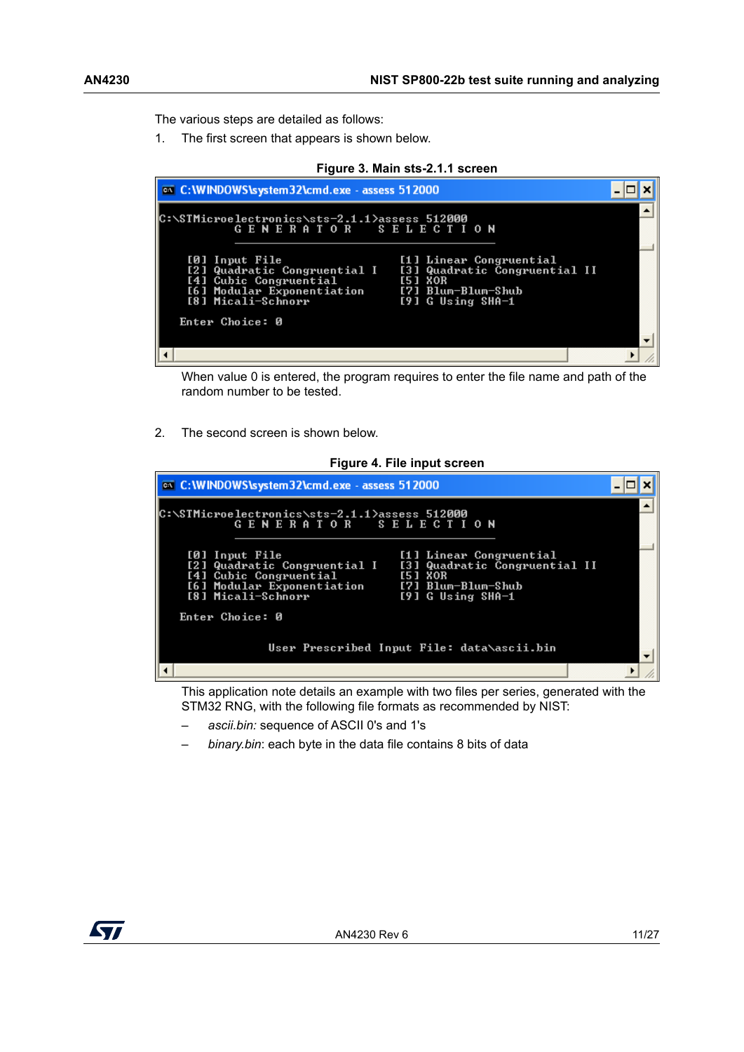The various steps are detailed as follows:

1. The first screen that appears is shown below.

<span id="page-10-0"></span>

| Figure 3. Main sts-2.1.1 screen                                                                                                                |                                                                                                                          |  |  |
|------------------------------------------------------------------------------------------------------------------------------------------------|--------------------------------------------------------------------------------------------------------------------------|--|--|
| on C: WINDOWS \system32\cmd.exe - assess 512000                                                                                                |                                                                                                                          |  |  |
| C:\STMicroelectronics\sts-2.1.1>assess 512000<br>GENERATOR SELECTION<br>[0] Input File<br>[4] Cubic Congruential<br>[6] Modular Exponentiation | [1] Linear Congruential<br>[2] Quadratic Congruential I   [3] Quadratic Congruential II<br>[5] XOR<br>[7] Blum-Blum-Shub |  |  |
| [8] Micali-Schnorr<br>Enter Choice: 0                                                                                                          | $[9]$ G Using SHA-1                                                                                                      |  |  |

When value 0 is entered, the program requires to enter the file name and path of the random number to be tested.

2. The second screen is shown below.



<span id="page-10-1"></span>

This application note details an example with two files per series, generated with the STM32 RNG, with the following file formats as recommended by NIST:

- *ascii.bin:* sequence of ASCII 0's and 1's
- *binary.bin*: each byte in the data file contains 8 bits of data

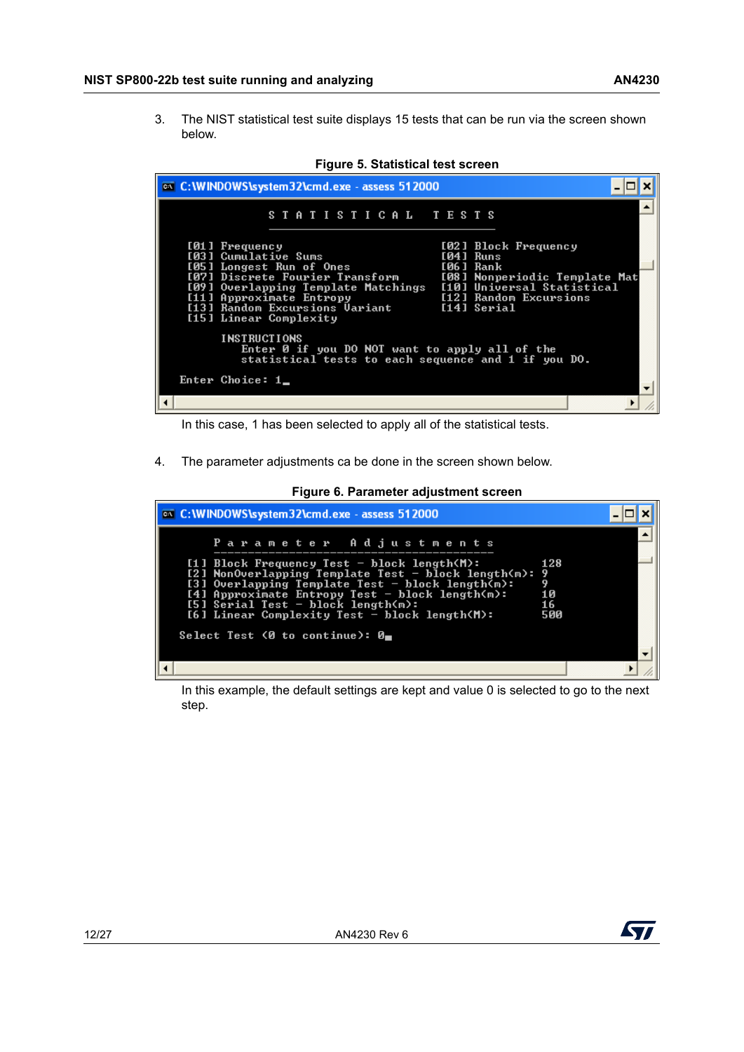3. The NIST statistical test suite displays 15 tests that can be run via the screen shown below.

<span id="page-11-0"></span>

| <b>EXEC: \WINDOWS\system32\cmd.exe</b> - assess 512000                                                                                                                                                                                                                                                                                                                                      |  |
|---------------------------------------------------------------------------------------------------------------------------------------------------------------------------------------------------------------------------------------------------------------------------------------------------------------------------------------------------------------------------------------------|--|
| STATISTICAL TESTS                                                                                                                                                                                                                                                                                                                                                                           |  |
| [01] Frequency<br>[02] Block Frequency<br>[03] Cumulative Sums<br>[04] Runs<br>[05] Longest Run of Ones<br>[06] Rank<br>[07] Discrete Fourier Transform<br>[08] Nonperiodic Template Mat<br>[09] Overlapping Template Matchings [10] Universal Statistical<br>[11] Approximate Entropy<br>[12] Random Excursions<br>[13] Random Excursions Uariant<br>[14] Serial<br>[15] Linear Complexity |  |
| <b>INSTRUCTIONS</b><br>Enter 0 if you DO NOT want to apply all of the<br>statistical tests to each sequence and 1 if you DO.                                                                                                                                                                                                                                                                |  |
| Enter Choice: 1                                                                                                                                                                                                                                                                                                                                                                             |  |
|                                                                                                                                                                                                                                                                                                                                                                                             |  |



In this case, 1 has been selected to apply all of the statistical tests.

4. The parameter adjustments ca be done in the screen shown below.



<span id="page-11-1"></span>

| <b>EXEC: \WINDOWS\system32\cmd.exe</b> - assess 512000                                                                                                                                                                                                                                                                                                                                                    |                        |
|-----------------------------------------------------------------------------------------------------------------------------------------------------------------------------------------------------------------------------------------------------------------------------------------------------------------------------------------------------------------------------------------------------------|------------------------|
| Parameter Adjustments<br>[1] Block Frequency Test - block length $(M)$ :<br>[2] NonOverlapping Template Test - block length(m): 9<br>[3] Overlapping Template Test - block length $\overline{m}$ :<br>[4] Approximate Entropy Test - block length(m):<br>$[5]$ Serial Test - block length $(n)$ :<br>$[6]$ Linear Complexity Test - block length $(M)$ :<br>Select Test (0 to continue): $\theta_{\rm m}$ | 128<br>10<br>16<br>500 |
|                                                                                                                                                                                                                                                                                                                                                                                                           |                        |

In this example, the default settings are kept and value 0 is selected to go to the next step.

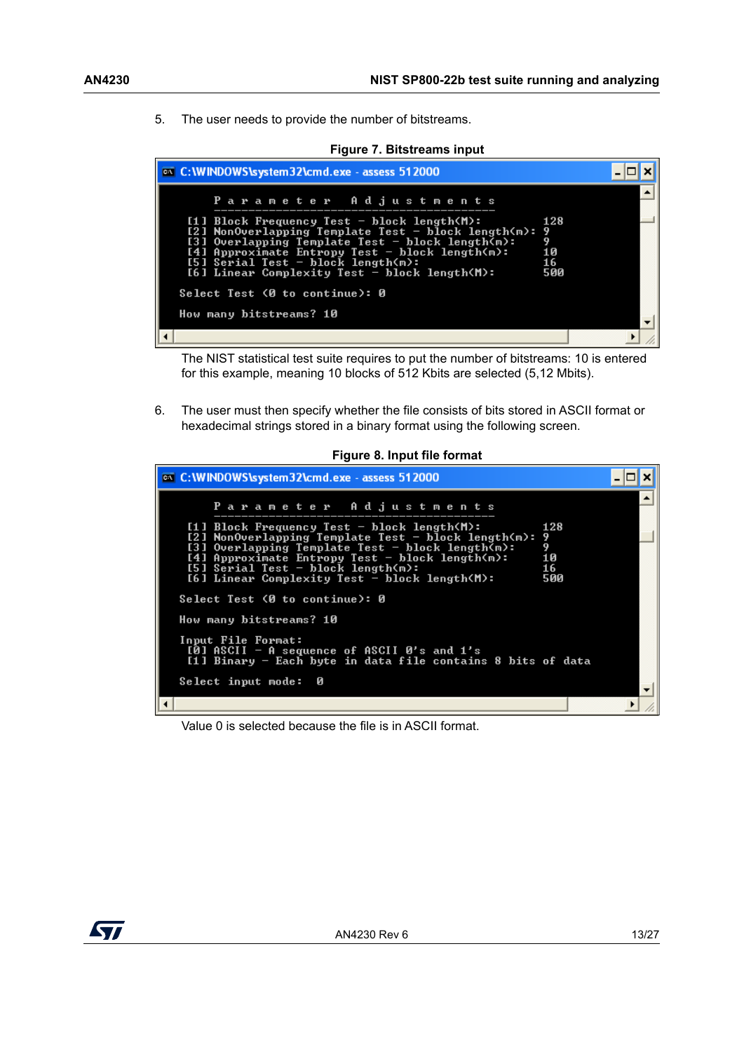5. The user needs to provide the number of bitstreams.

<span id="page-12-0"></span>

The NIST statistical test suite requires to put the number of bitstreams: 10 is entered for this example, meaning 10 blocks of 512 Kbits are selected (5,12 Mbits).

6. The user must then specify whether the file consists of bits stored in ASCII format or hexadecimal strings stored in a binary format using the following screen.

<span id="page-12-1"></span>

| <b>EXEC: \WINDOWS\system32\cmd.exe</b> - assess 512000                                                                                                                                                                                                                                                       |                                  |  |
|--------------------------------------------------------------------------------------------------------------------------------------------------------------------------------------------------------------------------------------------------------------------------------------------------------------|----------------------------------|--|
| Parameter Adjustments                                                                                                                                                                                                                                                                                        |                                  |  |
| $[1]$ Block Frequency Test - block length(M):<br>[2] NonOverlapping Template Test - block length(m):<br>[3] Overlapping Template Test - block length(m):<br>[4] Approximate Entropy Test - block length $(m)$ :<br>[5] Serial Test - block length $(m)$ :<br>$[6]$ Linear Complexity Test - block length(M): | 128<br>9<br>9<br>10<br>16<br>500 |  |
| Select Test (0 to continue): 0                                                                                                                                                                                                                                                                               |                                  |  |
| How many bitstreams? 10                                                                                                                                                                                                                                                                                      |                                  |  |
| Input File Format:<br>[0] ASCII - A sequence of ASCII 0's and $1's$<br>[1] Binary - Each byte in data file contains 8 bits of data                                                                                                                                                                           |                                  |  |
| Select input mode:<br>Ø                                                                                                                                                                                                                                                                                      |                                  |  |
|                                                                                                                                                                                                                                                                                                              |                                  |  |

Value 0 is selected because the file is in ASCII format.

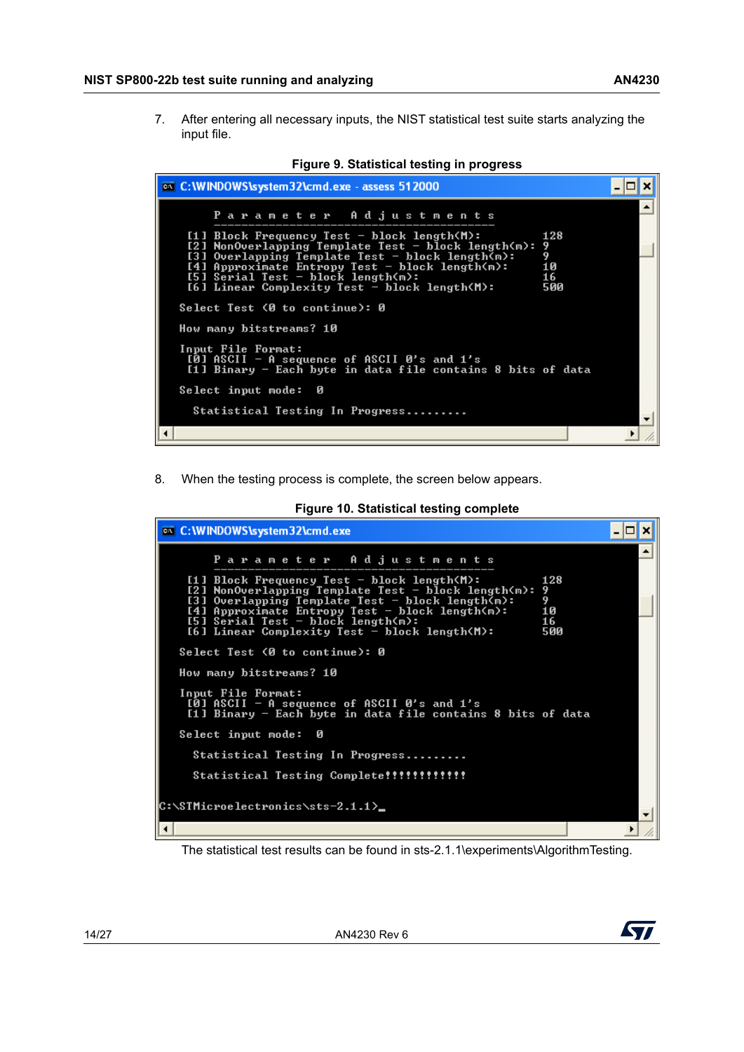7. After entering all necessary inputs, the NIST statistical test suite starts analyzing the input file.

<span id="page-13-0"></span>

| ov C: WINDOWS \system 32\cmd.exe - assess 512000                                                                                                                                                                                                                                                                                                         |  |
|----------------------------------------------------------------------------------------------------------------------------------------------------------------------------------------------------------------------------------------------------------------------------------------------------------------------------------------------------------|--|
| Parameter Adjustments                                                                                                                                                                                                                                                                                                                                    |  |
| [1] Block Frequency Test - block length(M):<br>128<br>[2] NonOverlapping Template Test - block length(m):<br>9<br>9<br>[3] Overlapping Template Test - block length(m):<br>10<br>[4] Approximate Entropy Test - block length(m):<br>$[5]$ Serial Test - block length $\langle n \rangle$ :<br>16<br>[6] Linear Complexity Test - block length(M):<br>500 |  |
| Select Test (0 to continue): 0                                                                                                                                                                                                                                                                                                                           |  |
| How many bitstreams? 10                                                                                                                                                                                                                                                                                                                                  |  |
| Input File Format:<br>[0] ASCII - A sequence of ASCII 0's and 1's<br>[1] Binary - Each byte in data file contains 8 bits of data                                                                                                                                                                                                                         |  |
| Select input mode:<br>Й                                                                                                                                                                                                                                                                                                                                  |  |
| Statistical Testing In Progress                                                                                                                                                                                                                                                                                                                          |  |
|                                                                                                                                                                                                                                                                                                                                                          |  |

**Figure 9. Statistical testing in progress**

8. When the testing process is complete, the screen below appears.

<span id="page-13-1"></span>

| <b>EX C: WINDOWS \system 32 \cmd.exe</b>                                                                                                                                                                                                                                                                                                     |  |
|----------------------------------------------------------------------------------------------------------------------------------------------------------------------------------------------------------------------------------------------------------------------------------------------------------------------------------------------|--|
| Parameter Adjustments                                                                                                                                                                                                                                                                                                                        |  |
| $[1]$ Block Frequency Test - block length(M):<br>128<br>[2] NonOverlapping Template Test - block length(m):<br>9<br>9<br>[3] Overlapping Template Test - block length(m):<br>[4] Approximate Entropy Test - block length(m):<br>10<br>$[5]$ Serial Test - block length $(m)$ :<br>16<br>[6] Linear Complexity Test - block length(M):<br>500 |  |
| Select Test (0 to continue): 0                                                                                                                                                                                                                                                                                                               |  |
| How many bitstreams? 10                                                                                                                                                                                                                                                                                                                      |  |
| Input File Format:<br>[0] ASCII - A sequence of ASCII 0's and 1's<br>[1] Binary - Each byte in data file contains 8 bits of data                                                                                                                                                                                                             |  |
| Select input mode:<br>Ø                                                                                                                                                                                                                                                                                                                      |  |
| Statistical Testing In Progress                                                                                                                                                                                                                                                                                                              |  |
|                                                                                                                                                                                                                                                                                                                                              |  |
| C:\STMicroelectronics\sts-2.1.1>_                                                                                                                                                                                                                                                                                                            |  |
|                                                                                                                                                                                                                                                                                                                                              |  |

**Figure 10. Statistical testing complete**

The statistical test results can be found in sts-2.1.1\experiments\AlgorithmTesting.

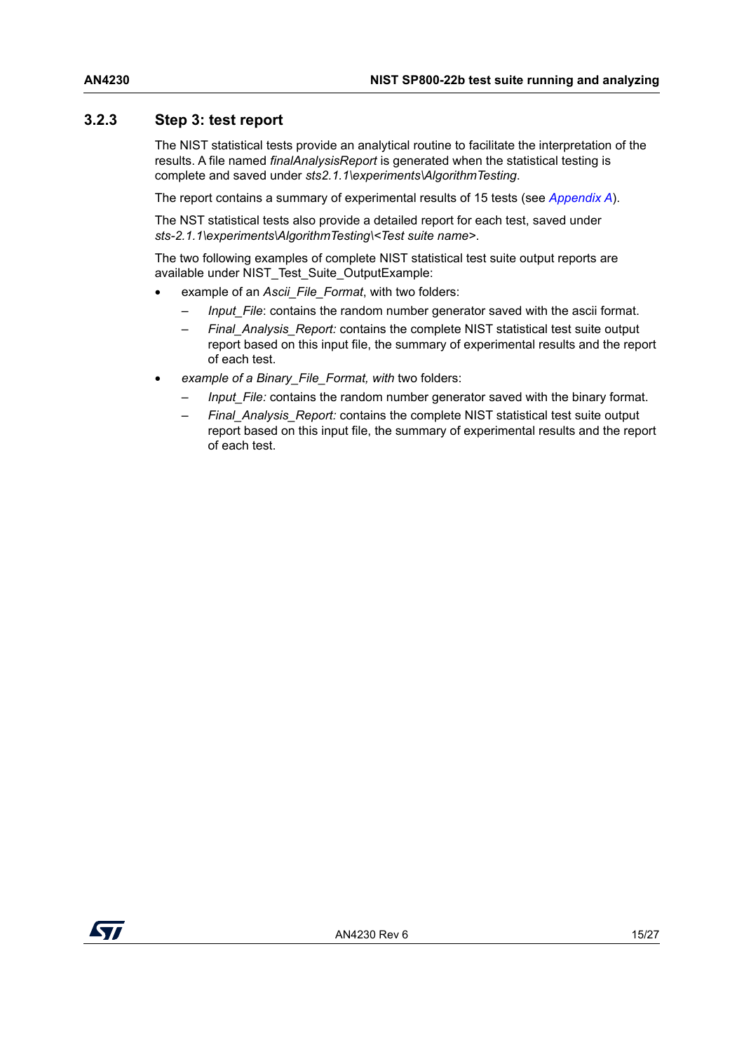#### <span id="page-14-0"></span>**3.2.3 Step 3: test report**

The NIST statistical tests provide an analytical routine to facilitate the interpretation of the results. A file named *finalAnalysisReport* is generated when the statistical testing is complete and saved under *sts2.1.1\experiments\AlgorithmTesting*.

The report contains a summary of experimental results of 15 tests (see *[Appendix A](#page-20-0)*).

The NST statistical tests also provide a detailed report for each test, saved under *sts-2.1.1\experiments\AlgorithmTesting\<Test suite name>*.

The two following examples of complete NIST statistical test suite output reports are available under NIST\_Test\_Suite\_OutputExample:

- example of an *Ascii File Format*, with two folders:
	- *Input File:* contains the random number generator saved with the ascii format.
	- *Final\_Analysis\_Report:* contains the complete NIST statistical test suite output report based on this input file, the summary of experimental results and the report of each test.
- *example of a Binary\_File\_Format, with* two folders:
	- *Input* File: contains the random number generator saved with the binary format.
	- *Final\_Analysis\_Report:* contains the complete NIST statistical test suite output report based on this input file, the summary of experimental results and the report of each test.

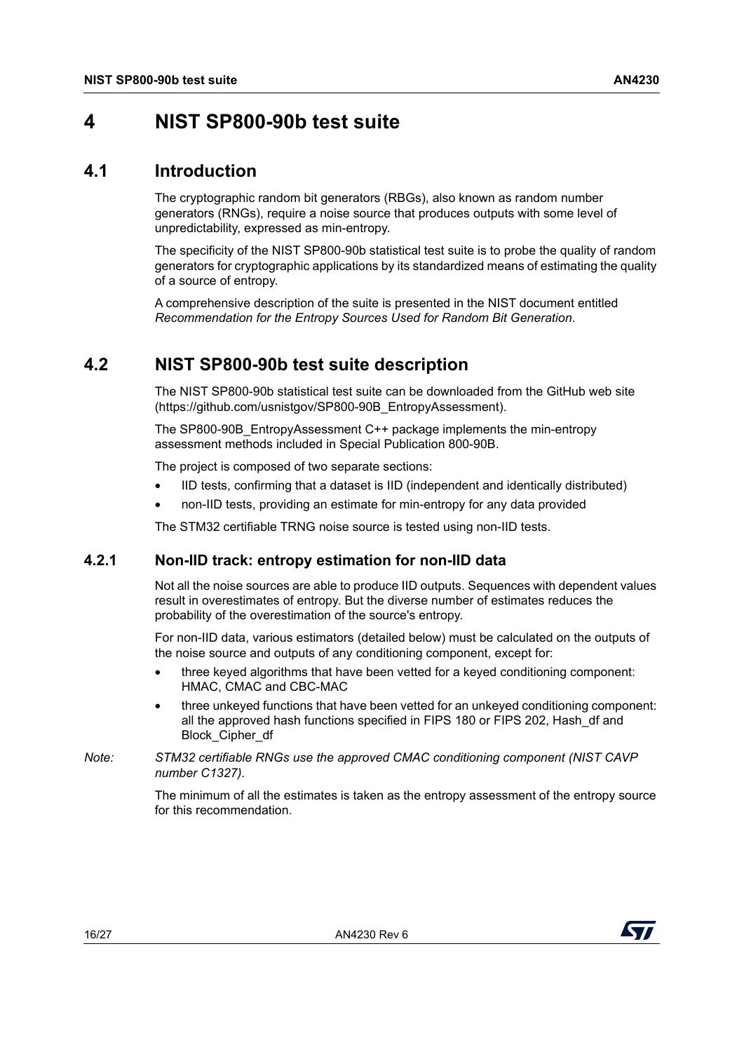### <span id="page-15-1"></span><span id="page-15-0"></span>**4 NIST SP800-90b test suite**

#### <span id="page-15-2"></span>**4.1 Introduction**

The cryptographic random bit generators (RBGs), also known as random number generators (RNGs), require a noise source that produces outputs with some level of unpredictability, expressed as min-entropy.

The specificity of the NIST SP800-90b statistical test suite is to probe the quality of random generators for cryptographic applications by its standardized means of estimating the quality of a source of entropy.

A comprehensive description of the suite is presented in the NIST document entitled *Recommendation for the Entropy Sources Used for Random Bit Generation*.

### <span id="page-15-3"></span>**4.2 NIST SP800-90b test suite description**

The NIST SP800-90b statistical test suite can be downloaded from the GitHub web site (https://github.com/usnistgov/SP800-90B\_EntropyAssessment).

The SP800-90B\_EntropyAssessment C++ package implements the min-entropy assessment methods included in Special Publication 800-90B.

The project is composed of two separate sections:

- IID tests, confirming that a dataset is IID (independent and identically distributed)
- non-IID tests, providing an estimate for min-entropy for any data provided

The STM32 certifiable TRNG noise source is tested using non-IID tests.

#### <span id="page-15-4"></span>**4.2.1 Non-IID track: entropy estimation for non-IID data**

Not all the noise sources are able to produce IID outputs. Sequences with dependent values result in overestimates of entropy. But the diverse number of estimates reduces the probability of the overestimation of the source's entropy.

For non-IID data, various estimators (detailed below) must be calculated on the outputs of the noise source and outputs of any conditioning component, except for:

- three keyed algorithms that have been vetted for a keyed conditioning component: HMAC, CMAC and CBC-MAC
- three unkeyed functions that have been vetted for an unkeyed conditioning component: all the approved hash functions specified in FIPS 180 or FIPS 202, Hash\_df and Block\_Cipher\_df
- *Note: STM32 certifiable RNGs use the approved CMAC conditioning component (NIST CAVP number C1327).*

The minimum of all the estimates is taken as the entropy assessment of the entropy source for this recommendation.

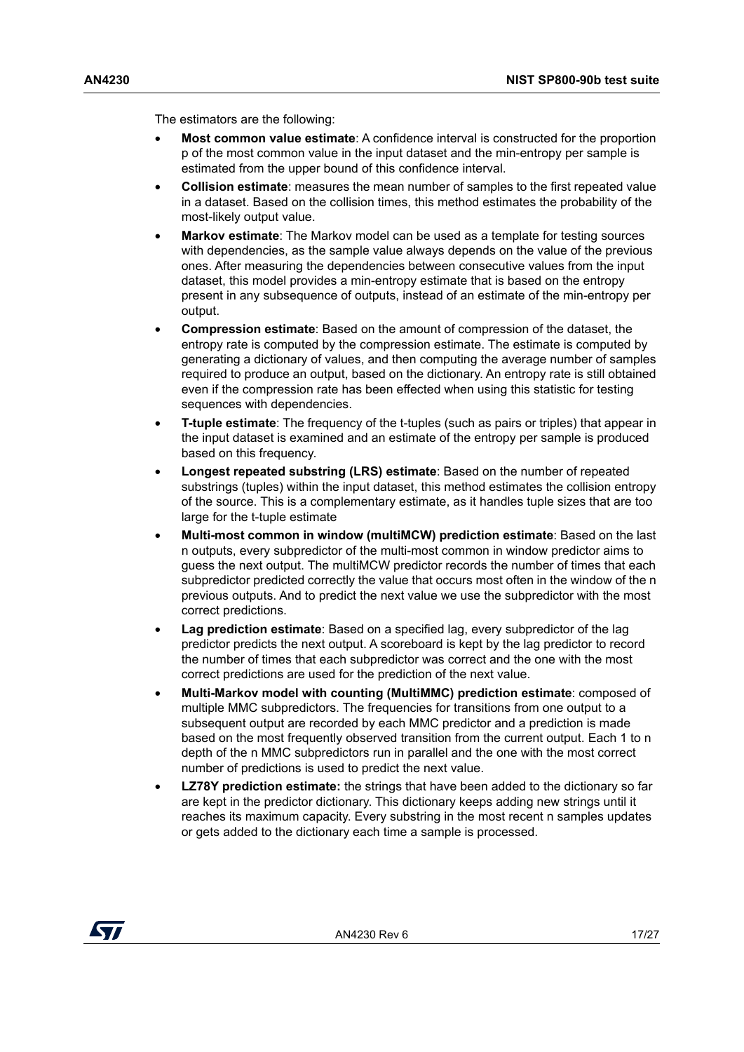The estimators are the following:

- **Most common value estimate**: A confidence interval is constructed for the proportion p of the most common value in the input dataset and the min-entropy per sample is estimated from the upper bound of this confidence interval.
- **Collision estimate**: measures the mean number of samples to the first repeated value in a dataset. Based on the collision times, this method estimates the probability of the most-likely output value.
- **Markov estimate**: The Markov model can be used as a template for testing sources with dependencies, as the sample value always depends on the value of the previous ones. After measuring the dependencies between consecutive values from the input dataset, this model provides a min-entropy estimate that is based on the entropy present in any subsequence of outputs, instead of an estimate of the min-entropy per output.
- **Compression estimate**: Based on the amount of compression of the dataset, the entropy rate is computed by the compression estimate. The estimate is computed by generating a dictionary of values, and then computing the average number of samples required to produce an output, based on the dictionary. An entropy rate is still obtained even if the compression rate has been effected when using this statistic for testing sequences with dependencies.
- **T-tuple estimate**: The frequency of the t-tuples (such as pairs or triples) that appear in the input dataset is examined and an estimate of the entropy per sample is produced based on this frequency.
- **Longest repeated substring (LRS) estimate**: Based on the number of repeated substrings (tuples) within the input dataset, this method estimates the collision entropy of the source. This is a complementary estimate, as it handles tuple sizes that are too large for the t-tuple estimate
- **Multi-most common in window (multiMCW) prediction estimate**: Based on the last n outputs, every subpredictor of the multi-most common in window predictor aims to guess the next output. The multiMCW predictor records the number of times that each subpredictor predicted correctly the value that occurs most often in the window of the n previous outputs. And to predict the next value we use the subpredictor with the most correct predictions.
- **Lag prediction estimate**: Based on a specified lag, every subpredictor of the lag predictor predicts the next output. A scoreboard is kept by the lag predictor to record the number of times that each subpredictor was correct and the one with the most correct predictions are used for the prediction of the next value.
- **Multi-Markov model with counting (MultiMMC) prediction estimate**: composed of multiple MMC subpredictors. The frequencies for transitions from one output to a subsequent output are recorded by each MMC predictor and a prediction is made based on the most frequently observed transition from the current output. Each 1 to n depth of the n MMC subpredictors run in parallel and the one with the most correct number of predictions is used to predict the next value.
- **LZ78Y prediction estimate:** the strings that have been added to the dictionary so far are kept in the predictor dictionary. This dictionary keeps adding new strings until it reaches its maximum capacity. Every substring in the most recent n samples updates or gets added to the dictionary each time a sample is processed.

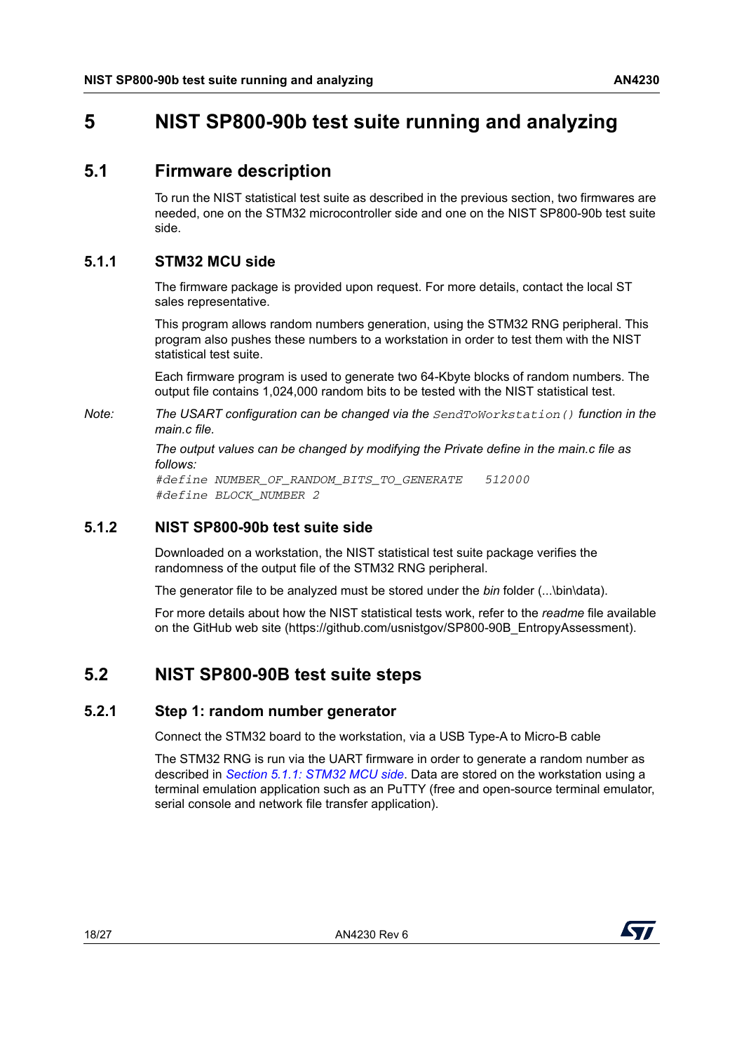### <span id="page-17-1"></span><span id="page-17-0"></span>**5 NIST SP800-90b test suite running and analyzing**

#### <span id="page-17-2"></span>**5.1 Firmware description**

To run the NIST statistical test suite as described in the previous section, two firmwares are needed, one on the STM32 microcontroller side and one on the NIST SP800-90b test suite side.

#### <span id="page-17-3"></span>**5.1.1 STM32 MCU side**

The firmware package is provided upon request. For more details, contact the local ST sales representative.

This program allows random numbers generation, using the STM32 RNG peripheral. This program also pushes these numbers to a workstation in order to test them with the NIST statistical test suite.

Each firmware program is used to generate two 64-Kbyte blocks of random numbers. The output file contains 1,024,000 random bits to be tested with the NIST statistical test.

*Note: The USART configuration can be changed via the SendToWorkstation() function in the main.c file.*

> *The output values can be changed by modifying the Private define in the main.c file as follows:*

*#define NUMBER\_OF\_RANDOM\_BITS\_TO\_GENERATE 512000 #define BLOCK\_NUMBER 2*

#### <span id="page-17-4"></span>**5.1.2 NIST SP800-90b test suite side**

Downloaded on a workstation, the NIST statistical test suite package verifies the randomness of the output file of the STM32 RNG peripheral.

The generator file to be analyzed must be stored under the *bin* folder (...\bin\data).

For more details about how the NIST statistical tests work, refer to the *readme* file available on the GitHub web site (https://github.com/usnistgov/SP800-90B\_EntropyAssessment).

### <span id="page-17-5"></span>**5.2 NIST SP800-90B test suite steps**

#### <span id="page-17-6"></span>**5.2.1 Step 1: random number generator**

Connect the STM32 board to the workstation, via a USB Type-A to Micro-B cable

The STM32 RNG is run via the UART firmware in order to generate a random number as described in *Section [5.1.1: STM32 MCU side](#page-17-3)*. Data are stored on the workstation using a terminal emulation application such as an PuTTY (free and open-source terminal emulator, serial console and network file transfer application).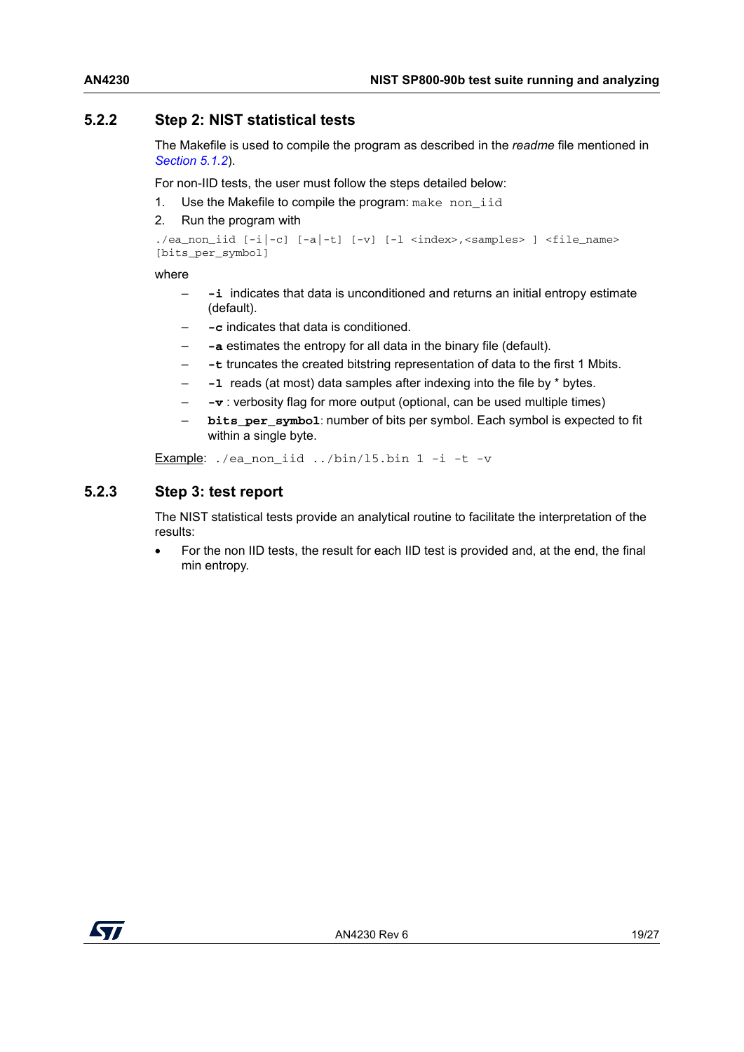#### <span id="page-18-0"></span>**5.2.2 Step 2: NIST statistical tests**

The Makefile is used to compile the program as described in the *readme* file mentioned in *[Section](#page-17-4) 5.1.2*).

For non-IID tests, the user must follow the steps detailed below:

- 1. Use the Makefile to compile the program: make non iid
- 2. Run the program with

```
./ea_non_iid [-i|-c] [-a|-t] [-v] [-l <index>,<samples> ] <file_name> 
[bits_per_symbol]
```
where

- **-i** indicates that data is unconditioned and returns an initial entropy estimate (default).
- **-c** indicates that data is conditioned.
- **-a** estimates the entropy for all data in the binary file (default).
- **-t** truncates the created bitstring representation of data to the first 1 Mbits.
- **-l** reads (at most) data samples after indexing into the file by \* bytes.
- **-v** : verbosity flag for more output (optional, can be used multiple times)
- **bits** per symbol: number of bits per symbol. Each symbol is expected to fit within a single byte.

Example:  $./ea$  non iid  $../bin/15.$ bin 1 -i -t -v

#### <span id="page-18-1"></span>**5.2.3 Step 3: test report**

The NIST statistical tests provide an analytical routine to facilitate the interpretation of the results:

• For the non IID tests, the result for each IID test is provided and, at the end, the final min entropy.

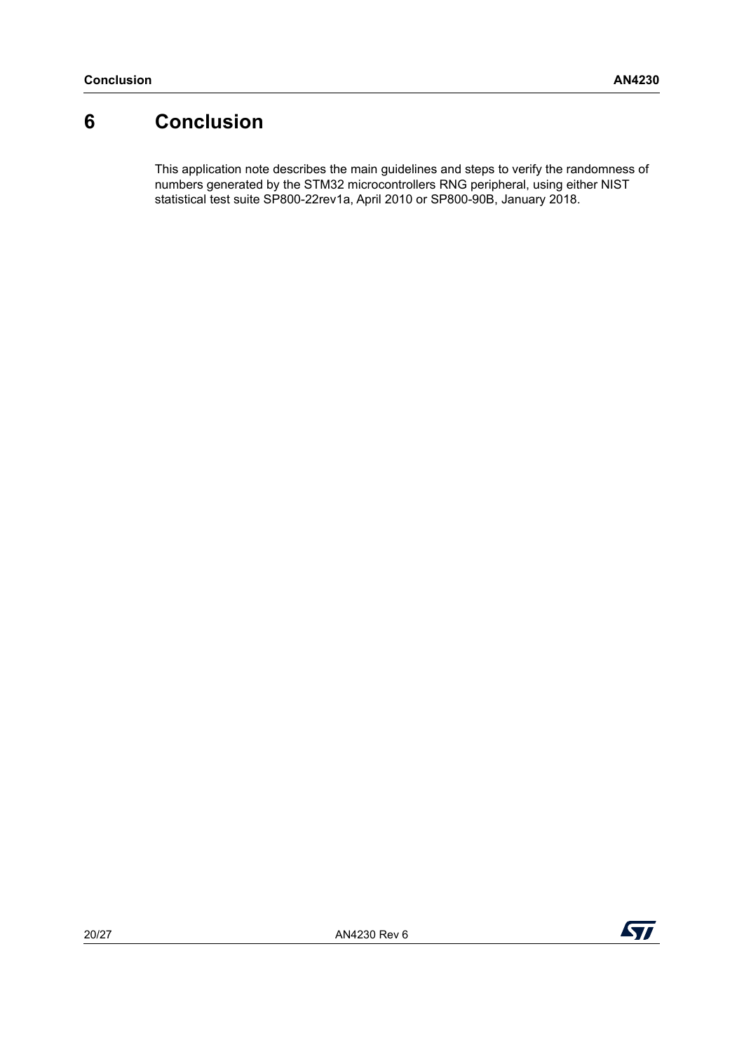## <span id="page-19-0"></span>**6 Conclusion**

This application note describes the main guidelines and steps to verify the randomness of numbers generated by the STM32 microcontrollers RNG peripheral, using either NIST statistical test suite SP800-22rev1a, April 2010 or SP800-90B, January 2018.

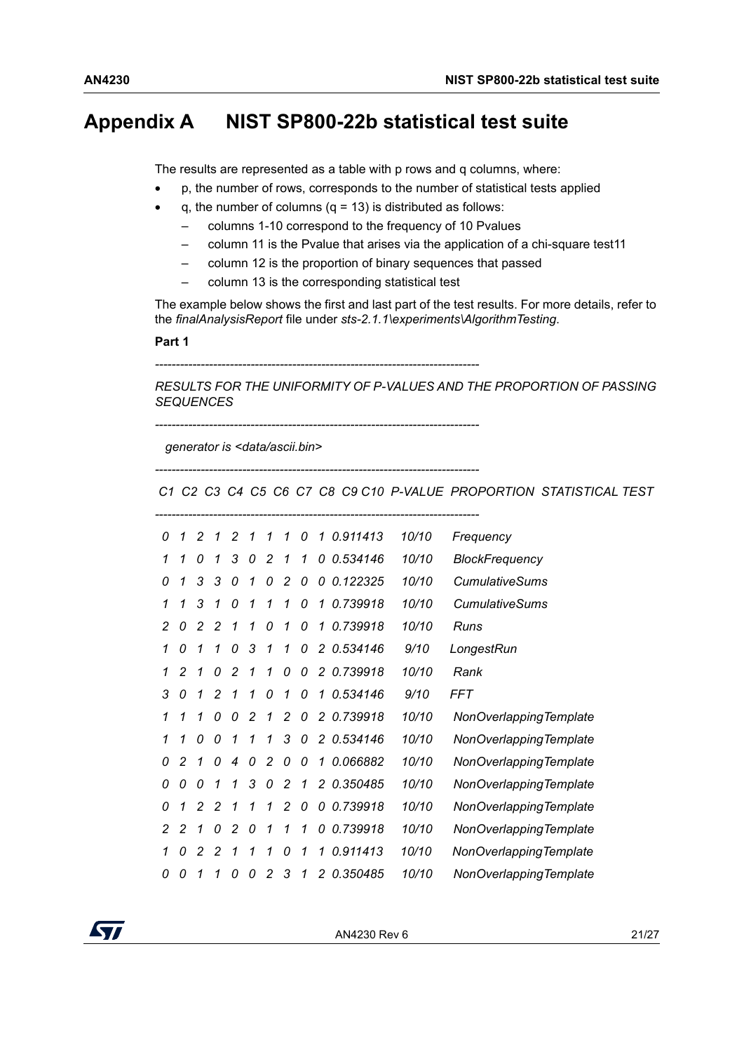### <span id="page-20-0"></span>**Appendix A NIST SP800-22b statistical test suite**

The results are represented as a table with p rows and q columns, where:

- p, the number of rows, corresponds to the number of statistical tests applied
- q, the number of columns  $(q = 13)$  is distributed as follows:
	- columns 1-10 correspond to the frequency of 10 Pvalues
	- column 11 is the Pvalue that arises via the application of a chi-square test11
	- column 12 is the proportion of binary sequences that passed
	- column 13 is the corresponding statistical test

The example below shows the first and last part of the test results. For more details, refer to the *finalAnalysisReport* file under *sts-2.1.1\experiments\AlgorithmTesting*.

#### **Part 1**

*------------------------------------------------------------------------------*

*RESULTS FOR THE UNIFORMITY OF P-VALUES AND THE PROPORTION OF PASSING SEQUENCES*

 *generator is <data/ascii.bin>*

*------------------------------------------------------------------------------*

*------------------------------------------------------------------------------*

 *C1 C2 C3 C4 C5 C6 C7 C8 C9 C10 P-VALUE PROPORTION STATISTICAL TEST*

| NonOverlapping Template |
|-------------------------|
| NonOverlapping Template |
| NonOverlapping Template |
| NonOverlappingTemplate  |
| NonOverlappingTemplate  |
| NonOverlappingTemplate  |
| NonOverlappingTemplate  |
| NonOverlapping Template |
|                         |



AN4230 Rev 6 21/[27](#page-26-0)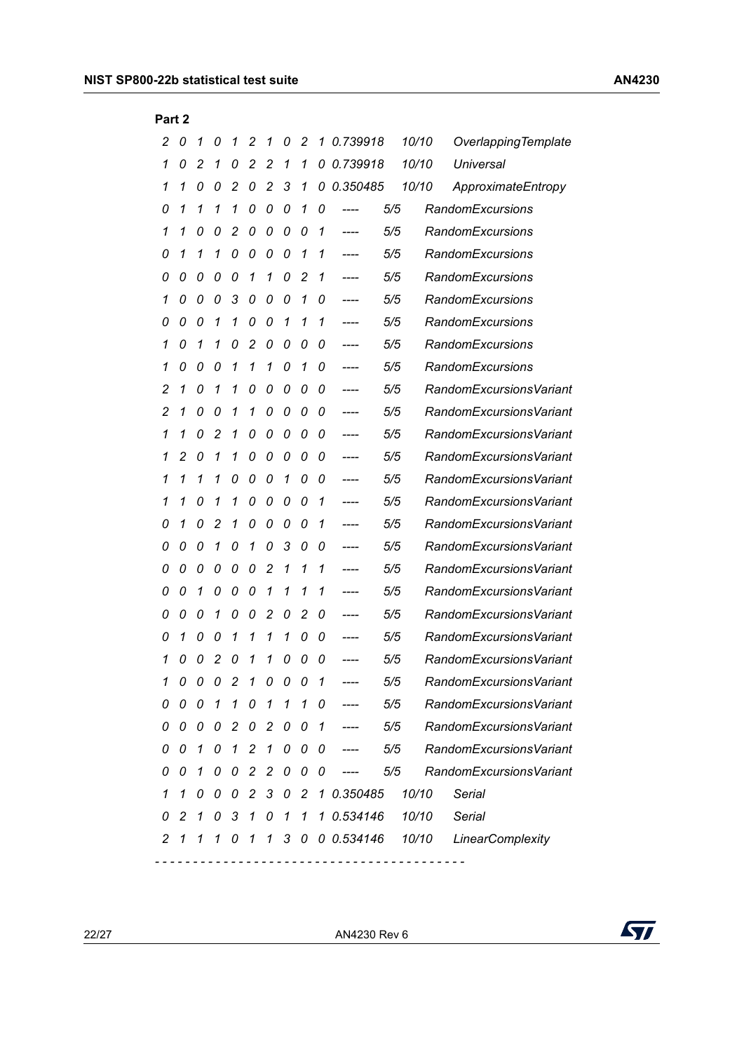| Fail 4 |   |   |   |                |                |               |          |                |   |                |     |       |                         |
|--------|---|---|---|----------------|----------------|---------------|----------|----------------|---|----------------|-----|-------|-------------------------|
| 2      | 0 | 1 | 0 | 1              | 2              | 1             | 0        | 2              | 1 | 0.739918       |     | 10/10 | Overlapping Template    |
| 1      | 0 | 2 | 1 | 0              | 2              | 2             | 1        | 1              | 0 | 0.739918       |     | 10/10 | Universal               |
| 1      | 1 | 0 | 0 | 2              | 0              | 2             | 3        | 1              | 0 | 0.350485       |     | 10/10 | ApproximateEntropy      |
| 0      | 1 | 1 | 1 | 1              | 0              | 0             | 0        | 1              | 0 | ----           | 5/5 |       | RandomExcursions        |
| 1      | 1 | 0 | 0 | 2              | 0              | 0             | 0        | 0              | 1 | ----           | 5/5 |       | <b>RandomExcursions</b> |
| 0      | 1 | 1 | 1 | 0              | 0              | 0             | 0        | 1              | 1 |                | 5/5 |       | <b>RandomExcursions</b> |
| 0      | 0 | 0 | 0 | 0              | 1              | 1             | 0        | 2              | 1 | ----           | 5/5 |       | <b>RandomExcursions</b> |
| 1      | 0 | 0 | 0 | 3              | 0              | 0             | 0        | 1              | 0 |                | 5/5 |       | <b>RandomExcursions</b> |
| 0      | 0 | 0 | 1 | 1              | 0              | 0             | 1        | 1              | 1 | $--- -$        | 5/5 |       | <b>RandomExcursions</b> |
| 1      | 0 | 1 | 1 | 0              | 2              | 0             | 0        | 0              | 0 |                | 5/5 |       | <b>RandomExcursions</b> |
| 1      | 0 | 0 | 0 | 1              | 1              | 1             | 0        | 1              | 0 | ----           | 5/5 |       | RandomExcursions        |
| 2      | 1 | 0 | 1 | 1              | 0              | 0             | 0        | 0              | 0 |                | 5/5 |       | RandomExcursionsVariant |
| 2      | 1 | 0 | 0 | 1              | 1              | 0             | 0        | 0              | 0 | $--- -$        | 5/5 |       | RandomExcursionsVariant |
| 1      | 1 | 0 | 2 | 1              | 0              | 0             | 0        | 0              | 0 |                | 5/5 |       | RandomExcursionsVariant |
| 1      | 2 | 0 | 1 | 1              | 0              | 0             | 0        | 0              | 0 | ----           | 5/5 |       | RandomExcursionsVariant |
| 1      | 1 | 1 | 1 | 0              | 0              | 0             | 1        | 0              | 0 |                | 5/5 |       | RandomExcursionsVariant |
| 1      | 1 | 0 | 1 | 1              | 0              | 0             | 0        | 0              | 1 | ----           | 5/5 |       | RandomExcursionsVariant |
| 0      | 1 | 0 | 2 | 1              | 0              | 0             | 0        | 0              | 1 |                | 5/5 |       | RandomExcursionsVariant |
| 0      | 0 | 0 | 1 | 0              | 1              | 0             | 3        | 0              | 0 | ----           | 5/5 |       | RandomExcursionsVariant |
| 0      | 0 | 0 | 0 | 0              | 0              | 2             | 1        | 1              | 1 |                | 5/5 |       | RandomExcursionsVariant |
| 0      | 0 | 1 | 0 | 0              | 0              | 1             | 1        | 1              | 1 | ----           | 5/5 |       | RandomExcursionsVariant |
| 0      | 0 | 0 | 1 | 0              | 0              | 2             | 0        | 2              | 0 |                | 5/5 |       | RandomExcursionsVariant |
| 0      | 1 | 0 | 0 | 1              | 1              | 1             | 1        | 0              | 0 | ----           | 5/5 |       | RandomExcursionsVariant |
| 1      | 0 | 0 | 2 | 0              | 1              | 1             | 0        | 0              | 0 |                | 5/5 |       | RandomExcursionsVariant |
| 1      | 0 | 0 | 0 | $\overline{c}$ | 1              | 0             | 0        | 0              |   |                | 5/5 |       | RandomExcursionsVariant |
| 0      | 0 | 0 | 1 | 1              | 0              | 1             | 1        | 1              | 0 |                | 5/5 |       | RandomExcursionsVariant |
| 0      | 0 | 0 | 0 | 2              | 0              | 2             | 0        | 0              | 1 |                | 5/5 |       | RandomExcursionsVariant |
| 0      | 0 | 1 | 0 | 1              | 2              | 1             | 0        | 0              | 0 |                | 5/5 |       | RandomExcursionsVariant |
| 0      | 0 | 1 | 0 | 0              | 2              | 2             | 0        | 0              | 0 |                | 5/5 |       | RandomExcursionsVariant |
| 1      | 1 | 0 | 0 | 0              | $\overline{c}$ | 3             | $\bm{o}$ | $\overline{2}$ |   | 1 0.350485     |     | 10/10 | Serial                  |
| 0      | 2 | 1 | 0 | 3              | 1              | 0             | 1        | 1              |   | 1 0.534146     |     | 10/10 | <b>Serial</b>           |
| 2      | 1 | 1 | 1 | 0              | 1              | $\mathcal{I}$ |          |                |   | 3 0 0 0.534146 |     | 10/10 | LinearComplexity        |
|        |   |   |   |                |                |               |          |                |   |                |     |       |                         |

**Part 2**

22/[27](#page-26-0) AN4230 Rev 6

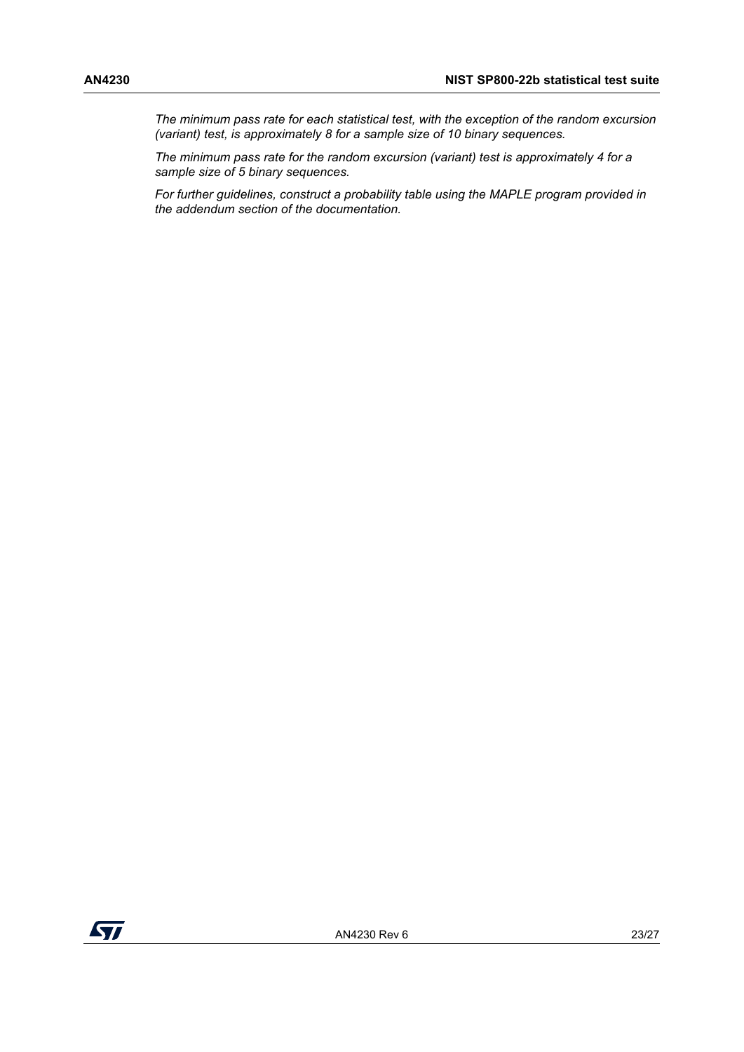*The minimum pass rate for each statistical test, with the exception of the random excursion (variant) test, is approximately 8 for a sample size of 10 binary sequences.*

*The minimum pass rate for the random excursion (variant) test is approximately 4 for a sample size of 5 binary sequences.*

*For further guidelines, construct a probability table using the MAPLE program provided in the addendum section of the documentation.*

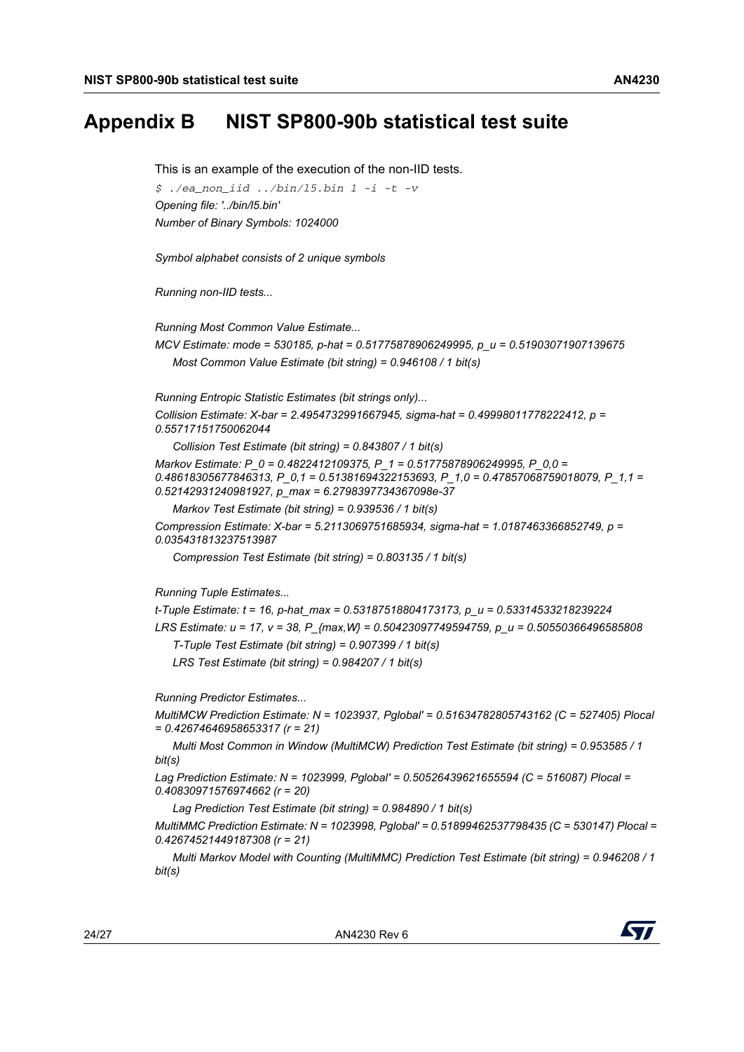### <span id="page-23-0"></span>**Appendix B NIST SP800-90b statistical test suite**

This is an example of the execution of the non-IID tests. *\$ ./ea\_non\_iid ../bin/l5.bin 1 -i -t -v Opening file: '../bin/l5.bin' Number of Binary Symbols: 1024000 Symbol alphabet consists of 2 unique symbols Running non-IID tests... Running Most Common Value Estimate... MCV Estimate: mode = 530185, p-hat = 0.51775878906249995, p\_u = 0.51903071907139675 Most Common Value Estimate (bit string) = 0.946108 / 1 bit(s) Running Entropic Statistic Estimates (bit strings only)... Collision Estimate: X-bar = 2.4954732991667945, sigma-hat = 0.49998011778222412, p = 0.55717151750062044 Collision Test Estimate (bit string) = 0.843807 / 1 bit(s) Markov Estimate: P\_0 = 0.4822412109375, P\_1 = 0.51775878906249995, P\_0,0 = 0.48618305677846313, P\_0,1 = 0.51381694322153693, P\_1,0 = 0.47857068759018079, P\_1,1 = 0.52142931240981927, p\_max = 6.2798397734367098e-37 Markov Test Estimate (bit string) = 0.939536 / 1 bit(s) Compression Estimate: X-bar = 5.2113069751685934, sigma-hat = 1.0187463366852749, p = 0.035431813237513987 Compression Test Estimate (bit string) = 0.803135 / 1 bit(s) Running Tuple Estimates... t-Tuple Estimate: t = 16, p-hat\_max = 0.53187518804173173, p\_u = 0.53314533218239224 LRS Estimate: u = 17, v = 38, P\_{max,W} = 0.50423097749594759, p\_u = 0.50550366496585808 T-Tuple Test Estimate (bit string) = 0.907399 / 1 bit(s) LRS Test Estimate (bit string) = 0.984207 / 1 bit(s) Running Predictor Estimates... MultiMCW Prediction Estimate: N = 1023937, Pglobal' = 0.51634782805743162 (C = 527405) Plocal = 0.42674646958653317 (r = 21) Multi Most Common in Window (MultiMCW) Prediction Test Estimate (bit string) = 0.953585 / 1 bit(s) Lag Prediction Estimate: N = 1023999, Pglobal' = 0.50526439621655594 (C = 516087) Plocal = 0.40830971576974662 (r = 20) Lag Prediction Test Estimate (bit string) = 0.984890 / 1 bit(s) MultiMMC Prediction Estimate: N = 1023998, Pglobal' = 0.51899462537798435 (C = 530147) Plocal = 0.42674521449187308 (r = 21) Multi Markov Model with Counting (MultiMMC) Prediction Test Estimate (bit string) = 0.946208 / 1 bit(s)*

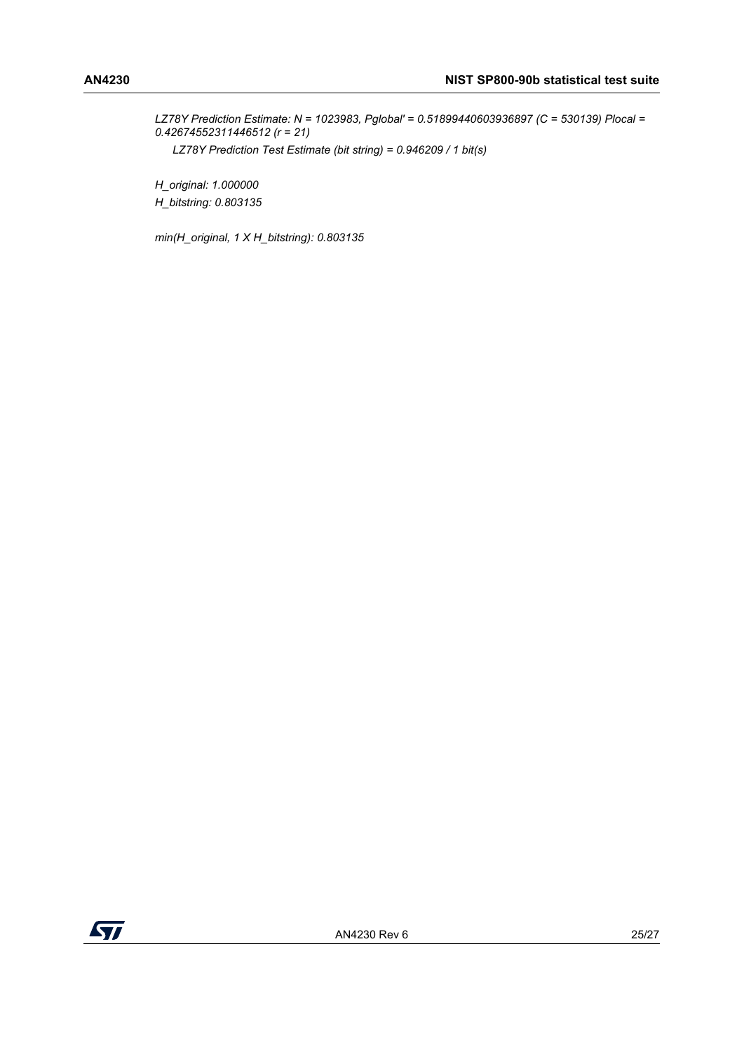*LZ78Y Prediction Estimate: N = 1023983, Pglobal' = 0.51899440603936897 (C = 530139) Plocal = 0.42674552311446512 (r = 21) LZ78Y Prediction Test Estimate (bit string) = 0.946209 / 1 bit(s)*

*H\_original: 1.000000 H\_bitstring: 0.803135*

*min(H\_original, 1 X H\_bitstring): 0.803135*

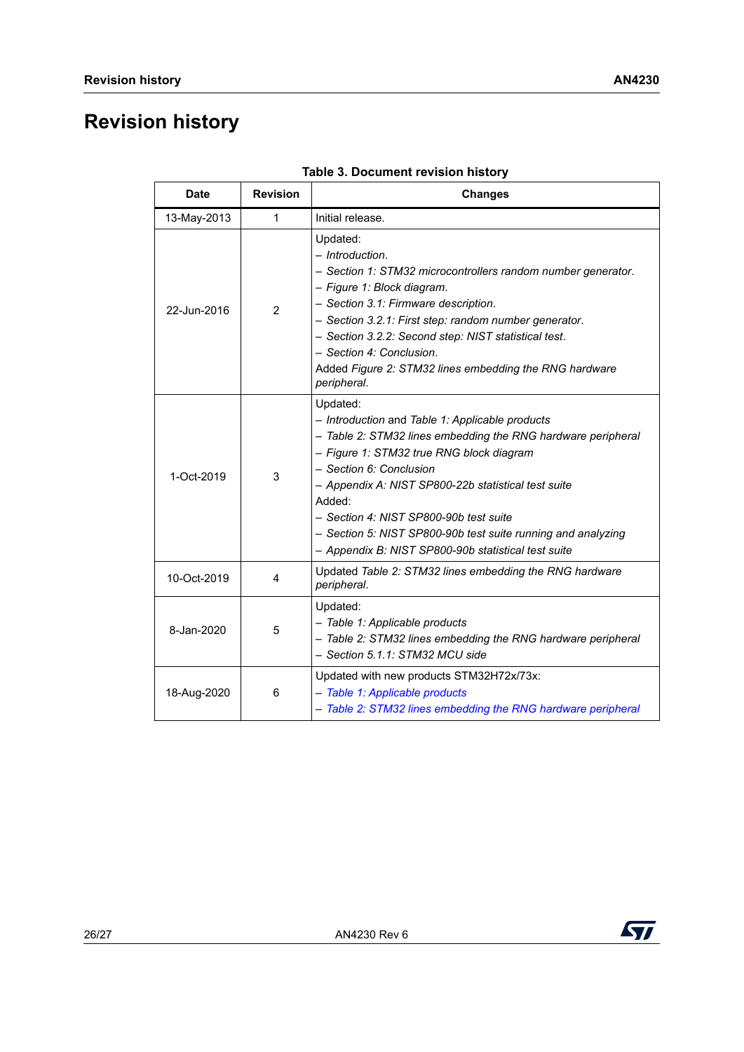## <span id="page-25-0"></span>**Revision history**

| <b>Date</b> | <b>Revision</b> | <b>Changes</b>                                                                                                                                                                                                                                                                                                                                                                                                                       |  |  |  |  |  |
|-------------|-----------------|--------------------------------------------------------------------------------------------------------------------------------------------------------------------------------------------------------------------------------------------------------------------------------------------------------------------------------------------------------------------------------------------------------------------------------------|--|--|--|--|--|
| 13-May-2013 | 1               | Initial release.                                                                                                                                                                                                                                                                                                                                                                                                                     |  |  |  |  |  |
| 22-Jun-2016 | $\overline{2}$  | Updated:<br>- Introduction.<br>- Section 1: STM32 microcontrollers random number generator.<br>- Figure 1: Block diagram.<br>- Section 3.1: Firmware description.<br>- Section 3.2.1: First step: random number generator.<br>- Section 3.2.2: Second step: NIST statistical test.<br>- Section 4: Conclusion.<br>Added Figure 2: STM32 lines embedding the RNG hardware<br>peripheral.                                              |  |  |  |  |  |
| 1-Oct-2019  | 3               | Updated:<br>- Introduction and Table 1: Applicable products<br>- Table 2: STM32 lines embedding the RNG hardware peripheral<br>- Figure 1: STM32 true RNG block diagram<br>- Section 6: Conclusion<br>- Appendix A: NIST SP800-22b statistical test suite<br>Added:<br>- Section 4: NIST SP800-90b test suite<br>- Section 5: NIST SP800-90b test suite running and analyzing<br>- Appendix B: NIST SP800-90b statistical test suite |  |  |  |  |  |
| 10-Oct-2019 | 4               | Updated Table 2: STM32 lines embedding the RNG hardware<br>peripheral.                                                                                                                                                                                                                                                                                                                                                               |  |  |  |  |  |
| 8-Jan-2020  | 5               | Updated:<br>- Table 1: Applicable products<br>- Table 2: STM32 lines embedding the RNG hardware peripheral<br>- Section 5.1.1: STM32 MCU side                                                                                                                                                                                                                                                                                        |  |  |  |  |  |
| 18-Aug-2020 | 6               | Updated with new products STM32H72x/73x:<br>- Table 1: Applicable products<br>- Table 2: STM32 lines embedding the RNG hardware peripheral                                                                                                                                                                                                                                                                                           |  |  |  |  |  |

**Table 3. Document revision history**